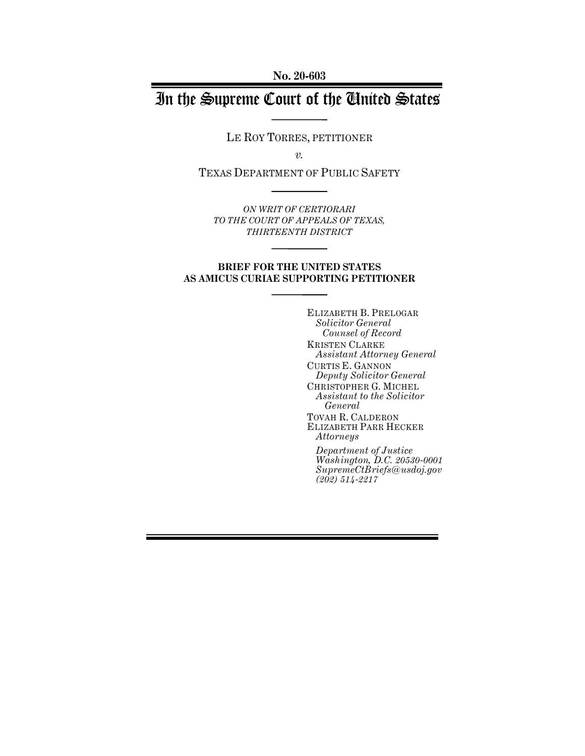**No. 20-603**

# In the Supreme Court of the United States

LE ROY TORRES, PETITIONER

*v.*

TEXAS DEPARTMENT OF PUBLIC SAFETY

*ON WRIT OF CERTIORARI TO THE COURT OF APPEALS OF TEXAS, THIRTEENTH DISTRICT*

## **BRIEF FOR THE UNITED STATES AS AMICUS CURIAE SUPPORTING PETITIONER**

ELIZABETH B. PRELOGAR *Solicitor General Counsel of Record* KRISTEN CLARKE *Assistant Attorney General* CURTIS E. GANNON *Deputy Solicitor General* CHRISTOPHER G. MICHEL *Assistant to the Solicitor General* TOVAH R. CALDERON ELIZABETH PARR HECKER *Attorneys*

*Department of Justice Washington, D.C. 20530-0001 SupremeCtBriefs@usdoj.gov (202) 514-2217*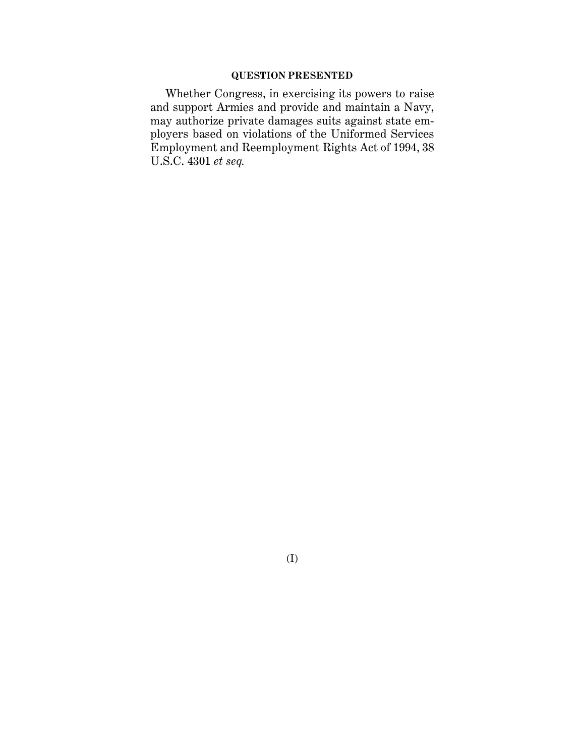## **QUESTION PRESENTED**

Whether Congress, in exercising its powers to raise and support Armies and provide and maintain a Navy, may authorize private damages suits against state employers based on violations of the Uniformed Services Employment and Reemployment Rights Act of 1994, 38 U.S.C. 4301 *et seq.*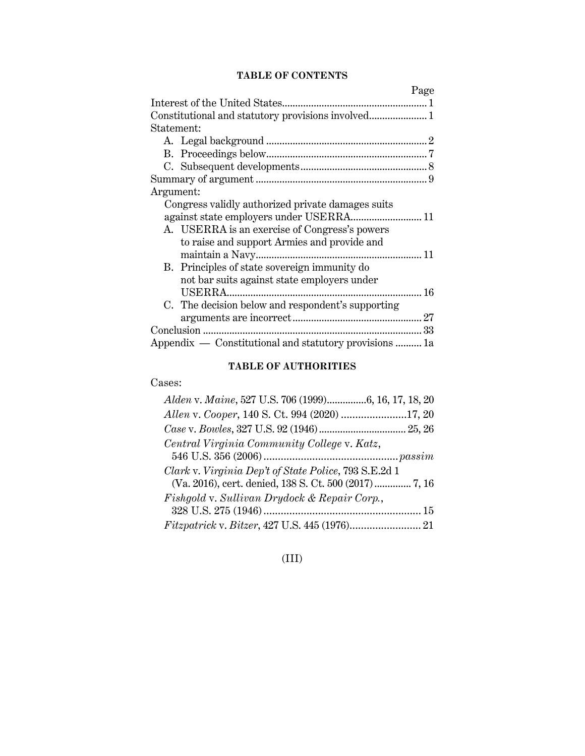## **TABLE OF CONTENTS**

| Page                                                   |
|--------------------------------------------------------|
|                                                        |
|                                                        |
| Statement:                                             |
|                                                        |
|                                                        |
|                                                        |
|                                                        |
| Argument:                                              |
| Congress validly authorized private damages suits      |
|                                                        |
| A. USERRA is an exercise of Congress's powers          |
| to raise and support Armies and provide and            |
|                                                        |
| B. Principles of state sovereign immunity do           |
| not bar suits against state employers under            |
|                                                        |
| C. The decision below and respondent's supporting      |
|                                                        |
|                                                        |
| Appendix - Constitutional and statutory provisions  1a |

## **TABLE OF AUTHORITIES**

## Cases:

| Alden v. Maine, 527 U.S. 706 (1999)6, 16, 17, 18, 20  |
|-------------------------------------------------------|
|                                                       |
|                                                       |
| Central Virginia Community College v. Katz,           |
|                                                       |
| Clark v. Virginia Dep't of State Police, 793 S.E.2d 1 |
| (Va. 2016), cert. denied, 138 S. Ct. 500 (2017) 7, 16 |
| Fishgold v. Sullivan Drydock & Repair Corp.,          |
|                                                       |
|                                                       |

## (III)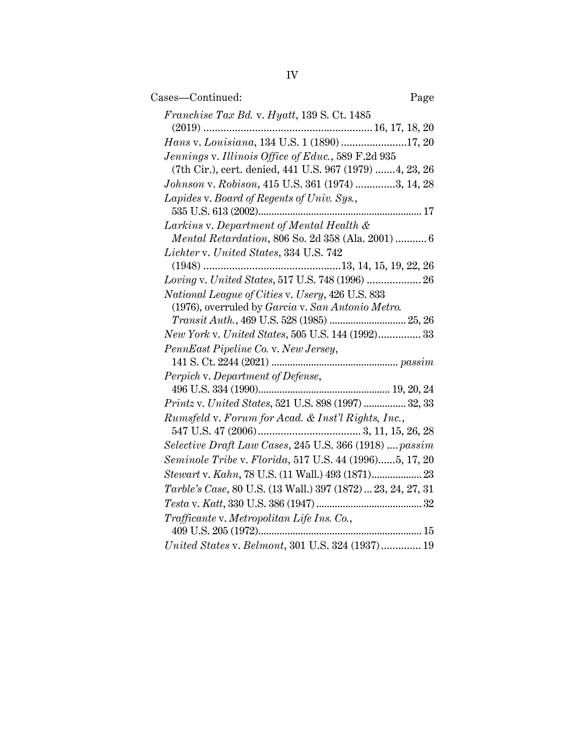| Cases-Continued:                                                                                              | Page |
|---------------------------------------------------------------------------------------------------------------|------|
| Franchise Tax Bd. v. Hyatt, 139 S. Ct. 1485                                                                   |      |
|                                                                                                               |      |
| Hans v. Louisiana, 134 U.S. 1 (1890) 17, 20                                                                   |      |
| Jennings v. Illinois Office of Educ., 589 F.2d 935<br>(7th Cir.), cert. denied, 441 U.S. 967 (1979) 4, 23, 26 |      |
| Johnson v. Robison, 415 U.S. 361 (1974) 3, 14, 28                                                             |      |
| Lapides v. Board of Regents of Univ. Sys.,                                                                    |      |
| Larkins v. Department of Mental Health &                                                                      |      |
| Mental Retardation, 806 So. 2d 358 (Ala. 2001)  6                                                             |      |
| Lichter v. United States, 334 U.S. 742                                                                        |      |
|                                                                                                               |      |
| Loving v. United States, 517 U.S. 748 (1996)  26                                                              |      |
| National League of Cities v. Usery, 426 U.S. 833                                                              |      |
| (1976), overruled by Garcia v. San Antonio Metro.                                                             |      |
|                                                                                                               |      |
| New York v. United States, 505 U.S. 144 (1992) 33                                                             |      |
| PennEast Pipeline Co. v. New Jersey,                                                                          |      |
| Perpich v. Department of Defense,                                                                             |      |
|                                                                                                               |      |
| Printz v. United States, 521 U.S. 898 (1997)  32, 33                                                          |      |
| Rumsfeld v. Forum for Acad. & Inst'l Rights, Inc.,                                                            |      |
|                                                                                                               |      |
| Selective Draft Law Cases, 245 U.S. 366 (1918)  passim                                                        |      |
| Seminole Tribe v. Florida, 517 U.S. 44 (1996)5, 17, 20                                                        |      |
| Stewart v. Kahn, 78 U.S. (11 Wall.) 493 (1871) 23                                                             |      |
| Tarble's Case, 80 U.S. (13 Wall.) 397 (1872)  23, 24, 27, 31                                                  |      |
|                                                                                                               |      |
| Trafficante v. Metropolitan Life Ins. Co.,                                                                    |      |
|                                                                                                               |      |
| United States v. Belmont, 301 U.S. 324 (1937) 19                                                              |      |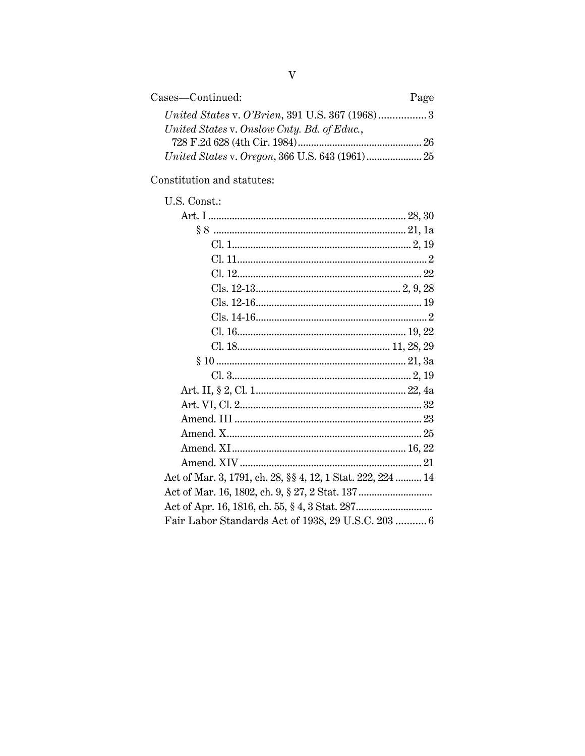| Cases—Continued:                            | Page |
|---------------------------------------------|------|
|                                             |      |
| United States v. Onslow Cnty. Bd. of Educ., |      |
|                                             |      |
|                                             |      |

Constitution and statutes:

| U.S. Const.: |
|--------------|
|              |

| Act of Mar. 3, 1791, ch. 28, §§ 4, 12, 1 Stat. 222, 224  14 |
|-------------------------------------------------------------|
|                                                             |
|                                                             |
| Fair Labor Standards Act of 1938, 29 U.S.C. 203  6          |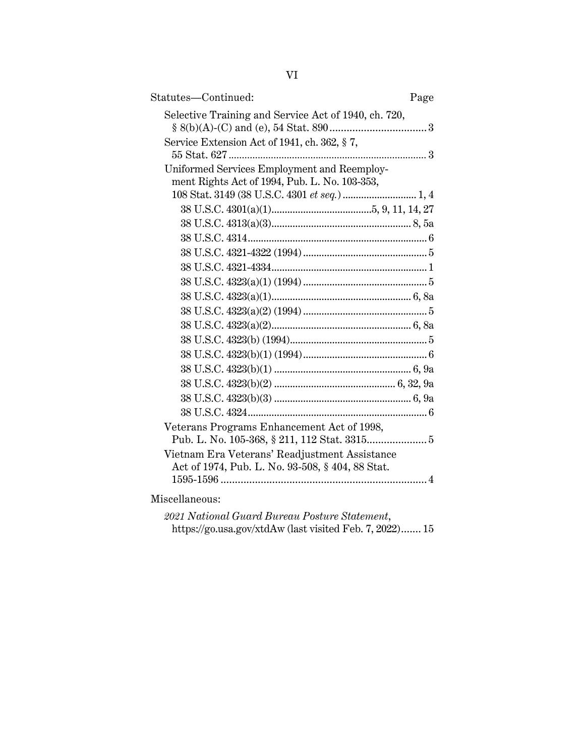| Statutes—Continued:                                                                          | Page |
|----------------------------------------------------------------------------------------------|------|
| Selective Training and Service Act of 1940, ch. 720,                                         |      |
| Service Extension Act of 1941, ch. 362, §7,                                                  |      |
| Uniformed Services Employment and Reemploy-<br>ment Rights Act of 1994, Pub. L. No. 103-353, |      |
|                                                                                              |      |
|                                                                                              |      |
|                                                                                              |      |
|                                                                                              |      |
|                                                                                              |      |
|                                                                                              |      |
|                                                                                              |      |
|                                                                                              |      |
|                                                                                              |      |
|                                                                                              |      |
|                                                                                              |      |
|                                                                                              |      |
|                                                                                              |      |
|                                                                                              |      |
|                                                                                              |      |
|                                                                                              |      |
| Veterans Programs Enhancement Act of 1998,                                                   |      |
|                                                                                              |      |
| Vietnam Era Veterans' Readjustment Assistance                                                |      |
| Act of 1974, Pub. L. No. 93-508, § 404, 88 Stat.                                             |      |
|                                                                                              |      |
|                                                                                              |      |

Miscellaneous:

*2021 National Guard Bureau Posture Statement*, https://go.usa.gov/xtdAw (last visited Feb. 7, 2022)....... 15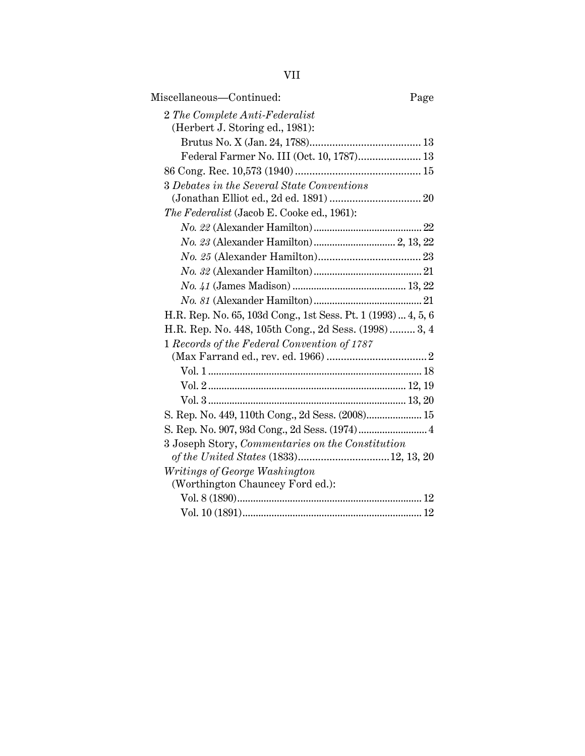| Miscellaneous—Continued:<br>Page                              |
|---------------------------------------------------------------|
| 2 The Complete Anti-Federalist                                |
| (Herbert J. Storing ed., 1981):                               |
|                                                               |
| Federal Farmer No. III (Oct. 10, 1787) 13                     |
|                                                               |
| 3 Debates in the Several State Conventions                    |
|                                                               |
| The Federalist (Jacob E. Cooke ed., 1961):                    |
|                                                               |
|                                                               |
|                                                               |
|                                                               |
|                                                               |
|                                                               |
| H.R. Rep. No. 65, 103d Cong., 1st Sess. Pt. 1 (1993)  4, 5, 6 |
| H.R. Rep. No. 448, 105th Cong., 2d Sess. (1998) 3, 4          |
| 1 Records of the Federal Convention of 1787                   |
|                                                               |
|                                                               |
|                                                               |
|                                                               |
| S. Rep. No. 449, 110th Cong., 2d Sess. (2008) 15              |
|                                                               |
| 3 Joseph Story, Commentaries on the Constitution              |
|                                                               |
| Writings of George Washington                                 |
| (Worthington Chauncey Ford ed.):                              |
|                                                               |
|                                                               |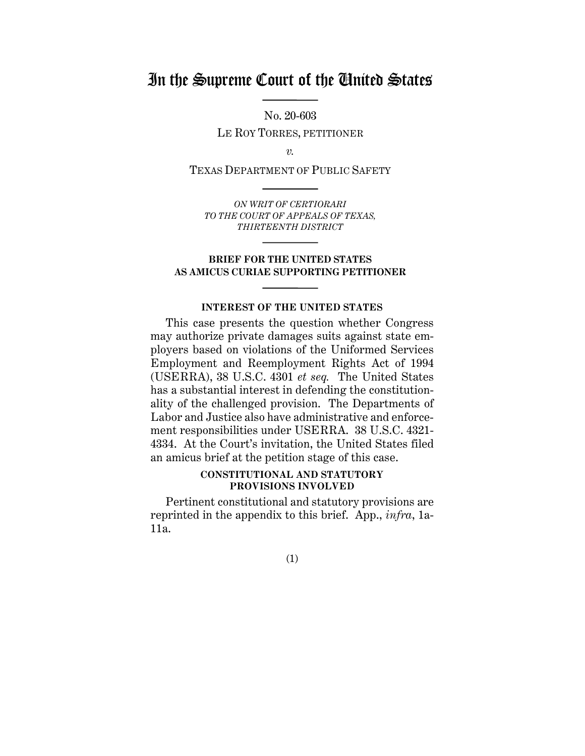## In the Supreme Court of the United States

No. 20-603 LE ROY TORRES, PETITIONER

*v.*

TEXAS DEPARTMENT OF PUBLIC SAFETY

*ON WRIT OF CERTIORARI TO THE COURT OF APPEALS OF TEXAS, THIRTEENTH DISTRICT*

#### **BRIEF FOR THE UNITED STATES AS AMICUS CURIAE SUPPORTING PETITIONER**

## **INTEREST OF THE UNITED STATES**

This case presents the question whether Congress may authorize private damages suits against state employers based on violations of the Uniformed Services Employment and Reemployment Rights Act of 1994 (USERRA), 38 U.S.C. 4301 *et seq.* The United States has a substantial interest in defending the constitutionality of the challenged provision. The Departments of Labor and Justice also have administrative and enforcement responsibilities under USERRA. 38 U.S.C. 4321- 4334. At the Court's invitation, the United States filed an amicus brief at the petition stage of this case.

## **CONSTITUTIONAL AND STATUTORY PROVISIONS INVOLVED**

Pertinent constitutional and statutory provisions are reprinted in the appendix to this brief. App., *infra*, 1a-11a.

(1)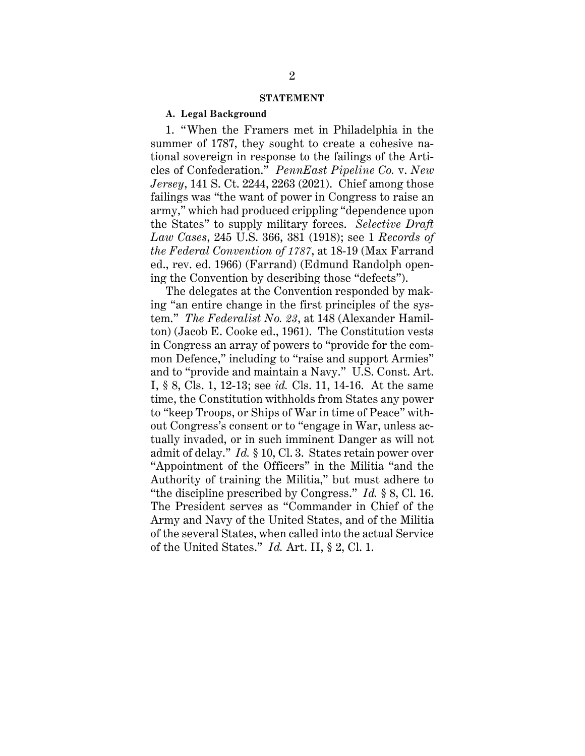#### **STATEMENT**

#### **A. Legal Background**

1. "When the Framers met in Philadelphia in the summer of 1787, they sought to create a cohesive national sovereign in response to the failings of the Articles of Confederation." *PennEast Pipeline Co.* v. *New Jersey*, 141 S. Ct. 2244, 2263 (2021). Chief among those failings was "the want of power in Congress to raise an army," which had produced crippling "dependence upon the States" to supply military forces. *Selective Draft Law Cases*, 245 U.S. 366, 381 (1918); see 1 *Records of the Federal Convention of 1787*, at 18-19 (Max Farrand ed., rev. ed. 1966) (Farrand) (Edmund Randolph opening the Convention by describing those "defects").

The delegates at the Convention responded by making "an entire change in the first principles of the system." *The Federalist No. 23*, at 148 (Alexander Hamilton) (Jacob E. Cooke ed., 1961). The Constitution vests in Congress an array of powers to "provide for the common Defence," including to "raise and support Armies" and to "provide and maintain a Navy." U.S. Const. Art. I, § 8, Cls. 1, 12-13; see *id.* Cls. 11, 14-16. At the same time, the Constitution withholds from States any power to "keep Troops, or Ships of War in time of Peace" without Congress's consent or to "engage in War, unless actually invaded, or in such imminent Danger as will not admit of delay." *Id.* § 10, Cl. 3. States retain power over "Appointment of the Officers" in the Militia "and the Authority of training the Militia," but must adhere to "the discipline prescribed by Congress." *Id.* § 8, Cl. 16. The President serves as "Commander in Chief of the Army and Navy of the United States, and of the Militia of the several States, when called into the actual Service of the United States." *Id.* Art. II, § 2, Cl. 1.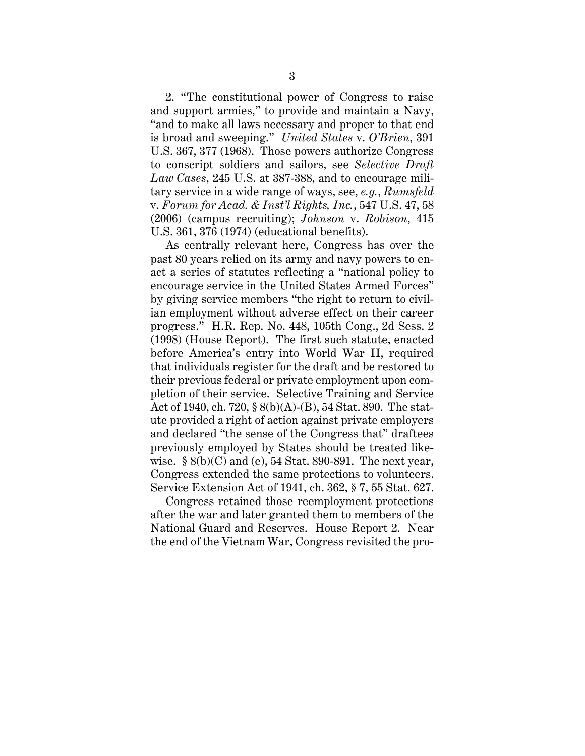2. "The constitutional power of Congress to raise and support armies," to provide and maintain a Navy, "and to make all laws necessary and proper to that end is broad and sweeping." *United States* v. *O'Brien*, 391 U.S. 367, 377 (1968). Those powers authorize Congress to conscript soldiers and sailors, see *Selective Draft Law Cases*, 245 U.S. at 387-388, and to encourage military service in a wide range of ways, see, *e.g.*, *Rumsfeld* v. *Forum for Acad. & Inst'l Rights, Inc.*, 547 U.S. 47, 58 (2006) (campus recruiting); *Johnson* v. *Robison*, 415 U.S. 361, 376 (1974) (educational benefits).

As centrally relevant here, Congress has over the past 80 years relied on its army and navy powers to enact a series of statutes reflecting a "national policy to encourage service in the United States Armed Forces" by giving service members "the right to return to civilian employment without adverse effect on their career progress." H.R. Rep. No. 448, 105th Cong., 2d Sess. 2 (1998) (House Report). The first such statute, enacted before America's entry into World War II, required that individuals register for the draft and be restored to their previous federal or private employment upon completion of their service. Selective Training and Service Act of 1940, ch. 720, § 8(b)(A)-(B), 54 Stat. 890. The statute provided a right of action against private employers and declared "the sense of the Congress that" draftees previously employed by States should be treated likewise.  $\S 8(b)(C)$  and (e), 54 Stat. 890-891. The next year, Congress extended the same protections to volunteers. Service Extension Act of 1941, ch. 362, § 7, 55 Stat. 627.

Congress retained those reemployment protections after the war and later granted them to members of the National Guard and Reserves. House Report 2. Near the end of the Vietnam War, Congress revisited the pro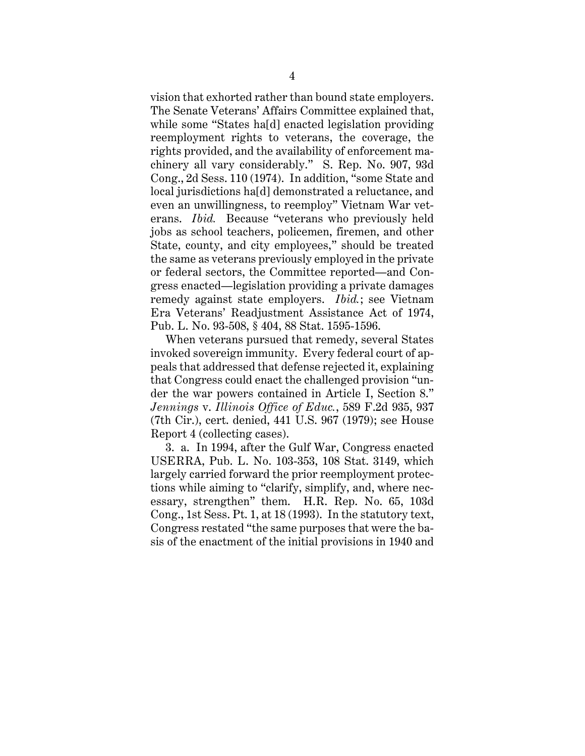vision that exhorted rather than bound state employers. The Senate Veterans' Affairs Committee explained that, while some "States ha[d] enacted legislation providing reemployment rights to veterans, the coverage, the rights provided, and the availability of enforcement machinery all vary considerably." S. Rep. No. 907, 93d Cong., 2d Sess. 110 (1974). In addition, "some State and local jurisdictions ha[d] demonstrated a reluctance, and even an unwillingness, to reemploy" Vietnam War veterans. *Ibid.* Because "veterans who previously held jobs as school teachers, policemen, firemen, and other State, county, and city employees," should be treated the same as veterans previously employed in the private or federal sectors, the Committee reported—and Congress enacted—legislation providing a private damages remedy against state employers. *Ibid.*; see Vietnam Era Veterans' Readjustment Assistance Act of 1974, Pub. L. No. 93-508, § 404, 88 Stat. 1595-1596.

When veterans pursued that remedy, several States invoked sovereign immunity. Every federal court of appeals that addressed that defense rejected it, explaining that Congress could enact the challenged provision "under the war powers contained in Article I, Section 8." *Jennings* v. *Illinois Office of Educ.*, 589 F.2d 935, 937 (7th Cir.), cert. denied, 441 U.S. 967 (1979); see House Report 4 (collecting cases).

3. a. In 1994, after the Gulf War, Congress enacted USERRA, Pub. L. No. 103-353, 108 Stat. 3149, which largely carried forward the prior reemployment protections while aiming to "clarify, simplify, and, where necessary, strengthen" them. H.R. Rep. No. 65, 103d Cong., 1st Sess. Pt. 1, at 18 (1993). In the statutory text, Congress restated "the same purposes that were the basis of the enactment of the initial provisions in 1940 and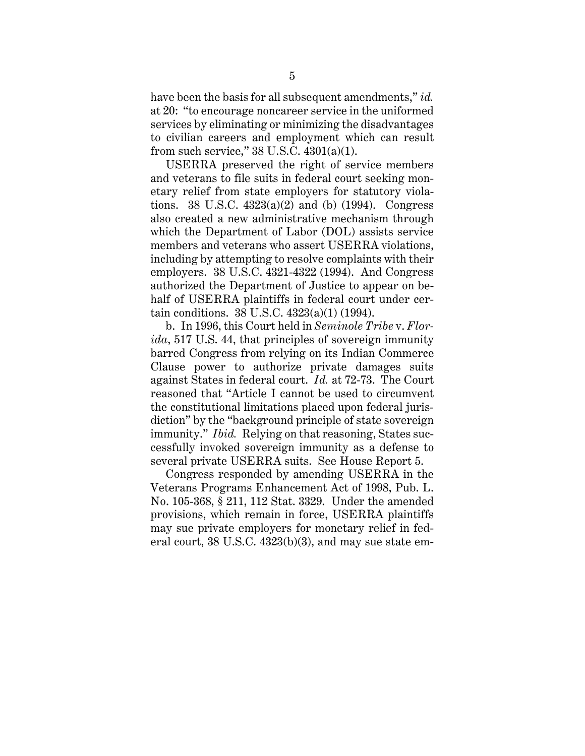have been the basis for all subsequent amendments," *id.*  at 20: "to encourage noncareer service in the uniformed services by eliminating or minimizing the disadvantages to civilian careers and employment which can result from such service,"  $38 \text{ U.S.C. } 4301(a)(1)$ .

USERRA preserved the right of service members and veterans to file suits in federal court seeking monetary relief from state employers for statutory violations. 38 U.S.C.  $4323(a)(2)$  and (b) (1994). Congress also created a new administrative mechanism through which the Department of Labor (DOL) assists service members and veterans who assert USERRA violations, including by attempting to resolve complaints with their employers. 38 U.S.C. 4321-4322 (1994). And Congress authorized the Department of Justice to appear on behalf of USERRA plaintiffs in federal court under certain conditions. 38 U.S.C. 4323(a)(1) (1994).

b. In 1996, this Court held in *Seminole Tribe* v. *Florida*, 517 U.S. 44, that principles of sovereign immunity barred Congress from relying on its Indian Commerce Clause power to authorize private damages suits against States in federal court. *Id.* at 72-73. The Court reasoned that "Article I cannot be used to circumvent the constitutional limitations placed upon federal jurisdiction" by the "background principle of state sovereign immunity." *Ibid.* Relying on that reasoning, States successfully invoked sovereign immunity as a defense to several private USERRA suits. See House Report 5.

Congress responded by amending USERRA in the Veterans Programs Enhancement Act of 1998, Pub. L. No. 105-368, § 211, 112 Stat. 3329. Under the amended provisions, which remain in force, USERRA plaintiffs may sue private employers for monetary relief in federal court, 38 U.S.C. 4323(b)(3), and may sue state em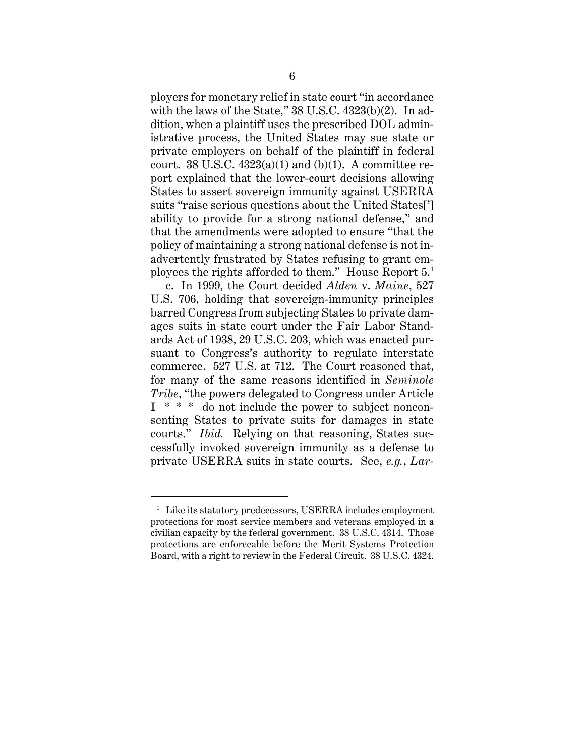ployers for monetary relief in state court "in accordance with the laws of the State," 38 U.S.C. 4323(b)(2). In addition, when a plaintiff uses the prescribed DOL administrative process, the United States may sue state or private employers on behalf of the plaintiff in federal court. 38 U.S.C.  $4323(a)(1)$  and (b)(1). A committee report explained that the lower-court decisions allowing States to assert sovereign immunity against USERRA suits "raise serious questions about the United States['] ability to provide for a strong national defense," and that the amendments were adopted to ensure "that the policy of maintaining a strong national defense is not inadvertently frustrated by States refusing to grant employees the rights afforded to them." House Report 5.1

c. In 1999, the Court decided *Alden* v. *Maine*, 527 U.S. 706, holding that sovereign-immunity principles barred Congress from subjecting States to private damages suits in state court under the Fair Labor Standards Act of 1938, 29 U.S.C. 203, which was enacted pursuant to Congress's authority to regulate interstate commerce. 527 U.S. at 712. The Court reasoned that, for many of the same reasons identified in *Seminole Tribe*, "the powers delegated to Congress under Article I \* \* \* do not include the power to subject nonconsenting States to private suits for damages in state courts." *Ibid.* Relying on that reasoning, States successfully invoked sovereign immunity as a defense to private USERRA suits in state courts. See, *e.g.*, *Lar-*

<sup>&</sup>lt;sup>1</sup> Like its statutory predecessors, USERRA includes employment protections for most service members and veterans employed in a civilian capacity by the federal government. 38 U.S.C. 4314. Those protections are enforceable before the Merit Systems Protection Board, with a right to review in the Federal Circuit. 38 U.S.C. 4324.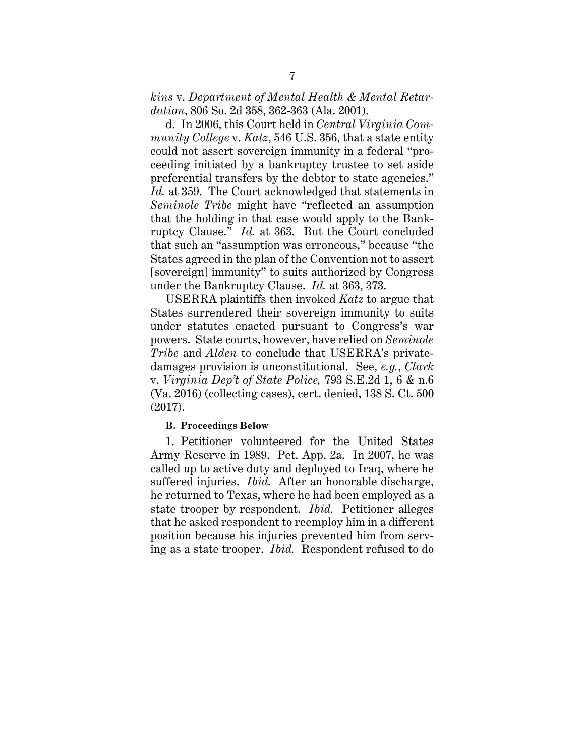*kins* v. *Department of Mental Health & Mental Retardation*, 806 So. 2d 358, 362-363 (Ala. 2001).

d. In 2006, this Court held in *Central Virginia Community College* v. *Katz*, 546 U.S. 356, that a state entity could not assert sovereign immunity in a federal "proceeding initiated by a bankruptcy trustee to set aside preferential transfers by the debtor to state agencies." Id. at 359. The Court acknowledged that statements in *Seminole Tribe* might have "reflected an assumption that the holding in that case would apply to the Bankruptcy Clause." *Id.* at 363. But the Court concluded that such an "assumption was erroneous," because "the States agreed in the plan of the Convention not to assert [sovereign] immunity" to suits authorized by Congress under the Bankruptcy Clause. *Id.* at 363, 373.

USERRA plaintiffs then invoked *Katz* to argue that States surrendered their sovereign immunity to suits under statutes enacted pursuant to Congress's war powers. State courts, however, have relied on *Seminole Tribe* and *Alden* to conclude that USERRA's privatedamages provision is unconstitutional. See, *e.g.*, *Clark* v. *Virginia Dep't of State Police,* 793 S.E.2d 1, 6 & n.6 (Va. 2016) (collecting cases), cert. denied, 138 S. Ct. 500 (2017).

#### **B. Proceedings Below**

1. Petitioner volunteered for the United States Army Reserve in 1989. Pet. App. 2a. In 2007, he was called up to active duty and deployed to Iraq, where he suffered injuries. *Ibid.* After an honorable discharge, he returned to Texas, where he had been employed as a state trooper by respondent. *Ibid.* Petitioner alleges that he asked respondent to reemploy him in a different position because his injuries prevented him from serving as a state trooper. *Ibid.* Respondent refused to do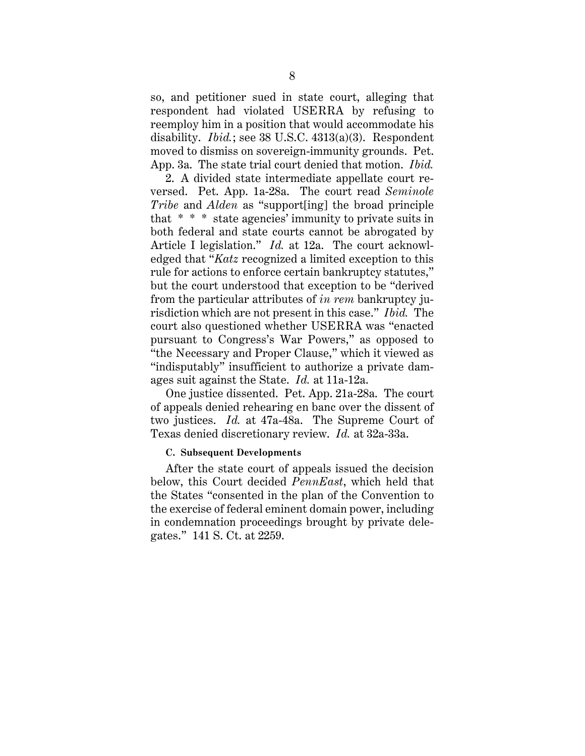so, and petitioner sued in state court, alleging that respondent had violated USERRA by refusing to reemploy him in a position that would accommodate his disability. *Ibid.*; see 38 U.S.C. 4313(a)(3). Respondent moved to dismiss on sovereign-immunity grounds. Pet. App. 3a. The state trial court denied that motion. *Ibid.* 

2. A divided state intermediate appellate court reversed. Pet. App. 1a-28a. The court read *Seminole Tribe* and *Alden* as "support[ing] the broad principle that \* \* \* state agencies' immunity to private suits in both federal and state courts cannot be abrogated by Article I legislation." *Id.* at 12a. The court acknowledged that "*Katz* recognized a limited exception to this rule for actions to enforce certain bankruptcy statutes," but the court understood that exception to be "derived from the particular attributes of *in rem* bankruptcy jurisdiction which are not present in this case." *Ibid.* The court also questioned whether USERRA was "enacted pursuant to Congress's War Powers," as opposed to "the Necessary and Proper Clause," which it viewed as "indisputably" insufficient to authorize a private damages suit against the State. *Id.* at 11a-12a.

One justice dissented. Pet. App. 21a-28a. The court of appeals denied rehearing en banc over the dissent of two justices. *Id.* at 47a-48a. The Supreme Court of Texas denied discretionary review. *Id.* at 32a-33a.

#### **C. Subsequent Developments**

After the state court of appeals issued the decision below, this Court decided *PennEast*, which held that the States "consented in the plan of the Convention to the exercise of federal eminent domain power, including in condemnation proceedings brought by private delegates." 141 S. Ct. at 2259.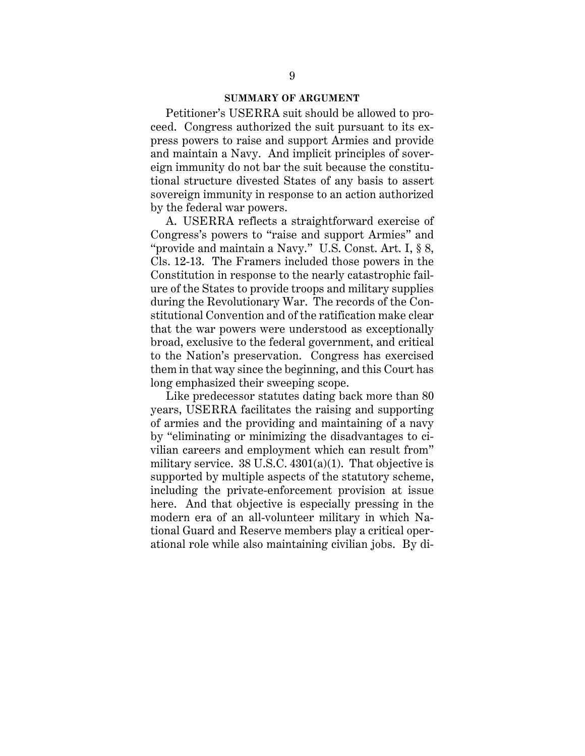#### **SUMMARY OF ARGUMENT**

Petitioner's USERRA suit should be allowed to proceed. Congress authorized the suit pursuant to its express powers to raise and support Armies and provide and maintain a Navy. And implicit principles of sovereign immunity do not bar the suit because the constitutional structure divested States of any basis to assert sovereign immunity in response to an action authorized by the federal war powers.

A. USERRA reflects a straightforward exercise of Congress's powers to "raise and support Armies" and "provide and maintain a Navy." U.S. Const. Art. I, § 8, Cls. 12-13. The Framers included those powers in the Constitution in response to the nearly catastrophic failure of the States to provide troops and military supplies during the Revolutionary War. The records of the Constitutional Convention and of the ratification make clear that the war powers were understood as exceptionally broad, exclusive to the federal government, and critical to the Nation's preservation. Congress has exercised them in that way since the beginning, and this Court has long emphasized their sweeping scope.

Like predecessor statutes dating back more than 80 years, USERRA facilitates the raising and supporting of armies and the providing and maintaining of a navy by "eliminating or minimizing the disadvantages to civilian careers and employment which can result from" military service.  $38 \text{ U.S.C. } 4301(a)(1)$ . That objective is supported by multiple aspects of the statutory scheme, including the private-enforcement provision at issue here. And that objective is especially pressing in the modern era of an all-volunteer military in which National Guard and Reserve members play a critical operational role while also maintaining civilian jobs. By di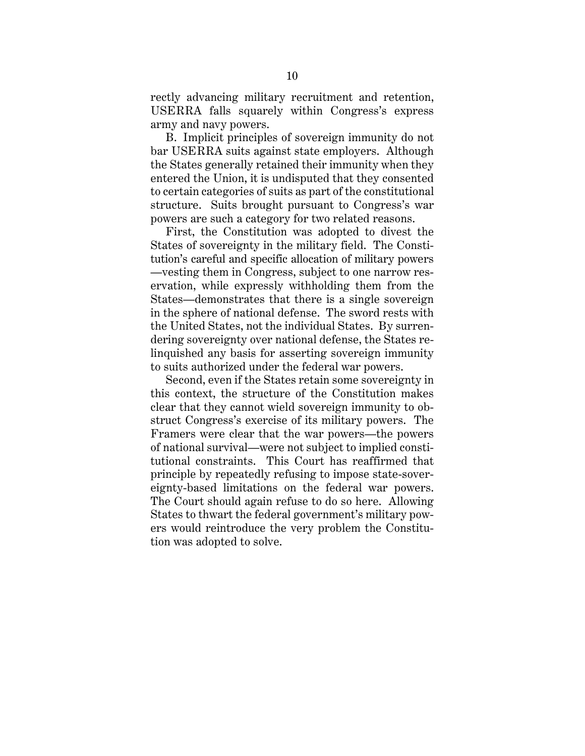rectly advancing military recruitment and retention, USERRA falls squarely within Congress's express army and navy powers.

B. Implicit principles of sovereign immunity do not bar USERRA suits against state employers. Although the States generally retained their immunity when they entered the Union, it is undisputed that they consented to certain categories of suits as part of the constitutional structure. Suits brought pursuant to Congress's war powers are such a category for two related reasons.

First, the Constitution was adopted to divest the States of sovereignty in the military field. The Constitution's careful and specific allocation of military powers —vesting them in Congress, subject to one narrow reservation, while expressly withholding them from the States—demonstrates that there is a single sovereign in the sphere of national defense. The sword rests with the United States, not the individual States. By surrendering sovereignty over national defense, the States relinquished any basis for asserting sovereign immunity to suits authorized under the federal war powers.

Second, even if the States retain some sovereignty in this context, the structure of the Constitution makes clear that they cannot wield sovereign immunity to obstruct Congress's exercise of its military powers. The Framers were clear that the war powers—the powers of national survival—were not subject to implied constitutional constraints. This Court has reaffirmed that principle by repeatedly refusing to impose state-sovereignty-based limitations on the federal war powers. The Court should again refuse to do so here. Allowing States to thwart the federal government's military powers would reintroduce the very problem the Constitution was adopted to solve.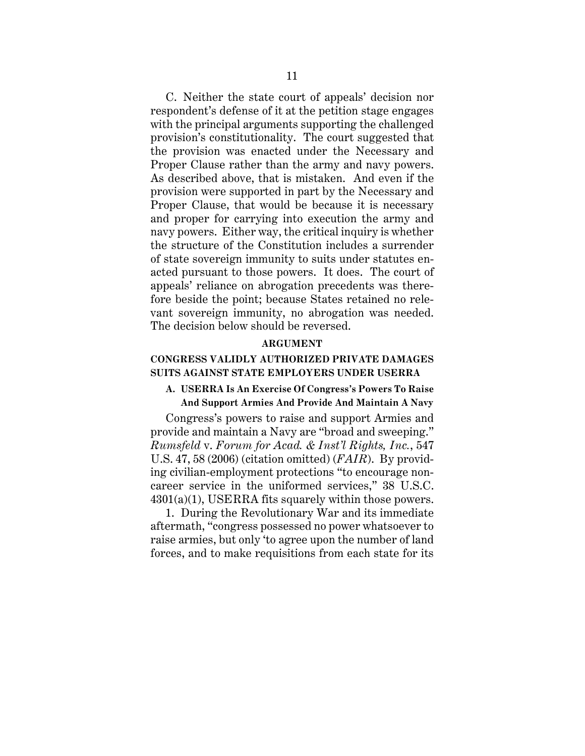C. Neither the state court of appeals' decision nor respondent's defense of it at the petition stage engages with the principal arguments supporting the challenged provision's constitutionality. The court suggested that the provision was enacted under the Necessary and Proper Clause rather than the army and navy powers. As described above, that is mistaken. And even if the provision were supported in part by the Necessary and Proper Clause, that would be because it is necessary and proper for carrying into execution the army and navy powers. Either way, the critical inquiry is whether the structure of the Constitution includes a surrender of state sovereign immunity to suits under statutes enacted pursuant to those powers. It does. The court of appeals' reliance on abrogation precedents was therefore beside the point; because States retained no relevant sovereign immunity, no abrogation was needed. The decision below should be reversed.

#### **ARGUMENT**

## **CONGRESS VALIDLY AUTHORIZED PRIVATE DAMAGES SUITS AGAINST STATE EMPLOYERS UNDER USERRA**

## **A. USERRA Is An Exercise Of Congress's Powers To Raise And Support Armies And Provide And Maintain A Navy**

Congress's powers to raise and support Armies and provide and maintain a Navy are "broad and sweeping." *Rumsfeld* v. *Forum for Acad. & Inst'l Rights, Inc.*, 547 U.S. 47, 58 (2006) (citation omitted) (*FAIR*). By providing civilian-employment protections "to encourage noncareer service in the uniformed services," 38 U.S.C.  $4301(a)(1)$ , USERRA fits squarely within those powers.

1. During the Revolutionary War and its immediate aftermath, "congress possessed no power whatsoever to raise armies, but only 'to agree upon the number of land forces, and to make requisitions from each state for its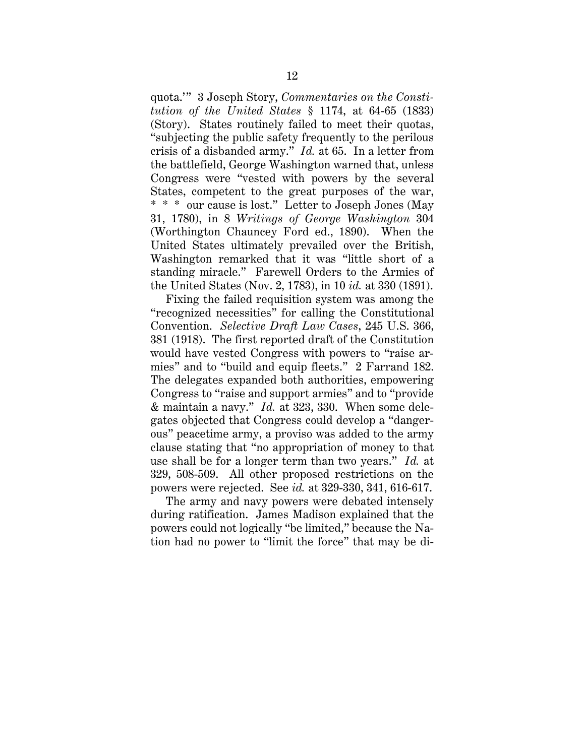quota.'" 3 Joseph Story, *Commentaries on the Constitution of the United States* § 1174, at 64-65 (1833) (Story). States routinely failed to meet their quotas, "subjecting the public safety frequently to the perilous crisis of a disbanded army." *Id.* at 65. In a letter from the battlefield, George Washington warned that, unless Congress were "vested with powers by the several States, competent to the great purposes of the war, \* \* \* our cause is lost." Letter to Joseph Jones (May 31, 1780), in 8 *Writings of George Washington* 304 (Worthington Chauncey Ford ed., 1890). When the United States ultimately prevailed over the British, Washington remarked that it was "little short of a standing miracle." Farewell Orders to the Armies of the United States (Nov. 2, 1783), in 10 *id.* at 330 (1891).

Fixing the failed requisition system was among the "recognized necessities" for calling the Constitutional Convention. *Selective Draft Law Cases*, 245 U.S. 366, 381 (1918). The first reported draft of the Constitution would have vested Congress with powers to "raise armies" and to "build and equip fleets." 2 Farrand 182. The delegates expanded both authorities, empowering Congress to "raise and support armies" and to "provide & maintain a navy." *Id.* at 323, 330. When some delegates objected that Congress could develop a "dangerous" peacetime army, a proviso was added to the army clause stating that "no appropriation of money to that use shall be for a longer term than two years." *Id.* at 329, 508-509. All other proposed restrictions on the powers were rejected. See *id.* at 329-330, 341, 616-617.

The army and navy powers were debated intensely during ratification. James Madison explained that the powers could not logically "be limited," because the Nation had no power to "limit the force" that may be di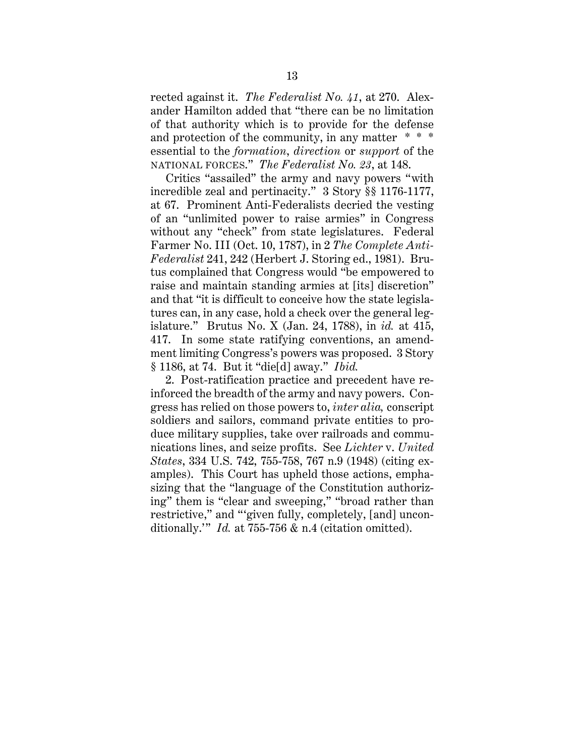rected against it. *The Federalist No. 41*, at 270. Alexander Hamilton added that "there can be no limitation of that authority which is to provide for the defense and protection of the community, in any matter \* \* \* essential to the *formation*, *direction* or *support* of the NATIONAL FORCES." *The Federalist No. 23*, at 148.

Critics "assailed" the army and navy powers "with incredible zeal and pertinacity." 3 Story §§ 1176-1177, at 67. Prominent Anti-Federalists decried the vesting of an "unlimited power to raise armies" in Congress without any "check" from state legislatures. Federal Farmer No. III (Oct. 10, 1787), in 2 *The Complete Anti-Federalist* 241, 242 (Herbert J. Storing ed., 1981). Brutus complained that Congress would "be empowered to raise and maintain standing armies at [its] discretion" and that "it is difficult to conceive how the state legislatures can, in any case, hold a check over the general legislature." Brutus No. X (Jan. 24, 1788), in *id.* at 415, 417. In some state ratifying conventions, an amendment limiting Congress's powers was proposed. 3 Story § 1186, at 74. But it "die[d] away." *Ibid.*

2. Post-ratification practice and precedent have reinforced the breadth of the army and navy powers. Congress has relied on those powers to, *inter alia,* conscript soldiers and sailors, command private entities to produce military supplies, take over railroads and communications lines, and seize profits. See *Lichter* v. *United States*, 334 U.S. 742, 755-758, 767 n.9 (1948) (citing examples). This Court has upheld those actions, emphasizing that the "language of the Constitution authorizing" them is "clear and sweeping," "broad rather than restrictive," and "'given fully, completely, [and] unconditionally.'" *Id.* at 755-756 & n.4 (citation omitted).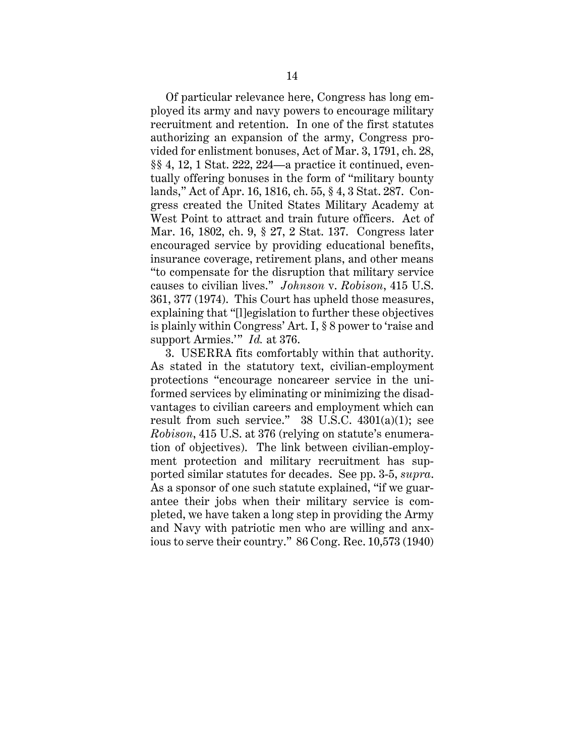Of particular relevance here, Congress has long employed its army and navy powers to encourage military recruitment and retention. In one of the first statutes authorizing an expansion of the army, Congress provided for enlistment bonuses, Act of Mar. 3, 1791, ch. 28, §§ 4, 12, 1 Stat. 222, 224—a practice it continued, eventually offering bonuses in the form of "military bounty lands," Act of Apr. 16, 1816, ch. 55, § 4, 3 Stat. 287. Congress created the United States Military Academy at West Point to attract and train future officers. Act of Mar. 16, 1802, ch. 9, § 27, 2 Stat. 137. Congress later encouraged service by providing educational benefits, insurance coverage, retirement plans, and other means "to compensate for the disruption that military service causes to civilian lives." *Johnson* v. *Robison*, 415 U.S. 361, 377 (1974). This Court has upheld those measures, explaining that "[l]egislation to further these objectives is plainly within Congress' Art. I, § 8 power to 'raise and support Armies.'" *Id.* at 376.

3. USERRA fits comfortably within that authority. As stated in the statutory text, civilian-employment protections "encourage noncareer service in the uniformed services by eliminating or minimizing the disadvantages to civilian careers and employment which can result from such service."  $38 \text{ U.S.C. } 4301(a)(1);$  see *Robison*, 415 U.S. at 376 (relying on statute's enumeration of objectives). The link between civilian-employment protection and military recruitment has supported similar statutes for decades. See pp. 3-5, *supra*. As a sponsor of one such statute explained, "if we guarantee their jobs when their military service is completed, we have taken a long step in providing the Army and Navy with patriotic men who are willing and anxious to serve their country." 86 Cong. Rec. 10,573 (1940)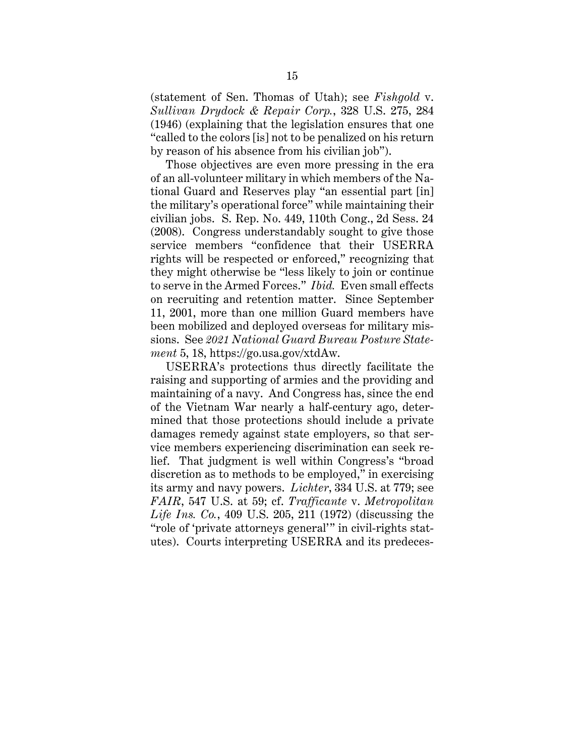(statement of Sen. Thomas of Utah); see *Fishgold* v. *Sullivan Drydock & Repair Corp.*, 328 U.S. 275, 284 (1946) (explaining that the legislation ensures that one "called to the colors [is] not to be penalized on his return by reason of his absence from his civilian job").

Those objectives are even more pressing in the era of an all-volunteer military in which members of the National Guard and Reserves play "an essential part [in] the military's operational force" while maintaining their civilian jobs. S. Rep. No. 449, 110th Cong., 2d Sess. 24 (2008). Congress understandably sought to give those service members "confidence that their USERRA rights will be respected or enforced," recognizing that they might otherwise be "less likely to join or continue to serve in the Armed Forces." *Ibid.* Even small effects on recruiting and retention matter. Since September 11, 2001, more than one million Guard members have been mobilized and deployed overseas for military missions. See *2021 National Guard Bureau Posture Statement* 5, 18, https://go.usa.gov/xtdAw.

USERRA's protections thus directly facilitate the raising and supporting of armies and the providing and maintaining of a navy. And Congress has, since the end of the Vietnam War nearly a half-century ago, determined that those protections should include a private damages remedy against state employers, so that service members experiencing discrimination can seek relief. That judgment is well within Congress's "broad discretion as to methods to be employed," in exercising its army and navy powers. *Lichter*, 334 U.S. at 779; see *FAIR*, 547 U.S. at 59; cf. *Trafficante* v. *Metropolitan Life Ins. Co.*, 409 U.S. 205, 211 (1972) (discussing the "role of 'private attorneys general'" in civil-rights statutes). Courts interpreting USERRA and its predeces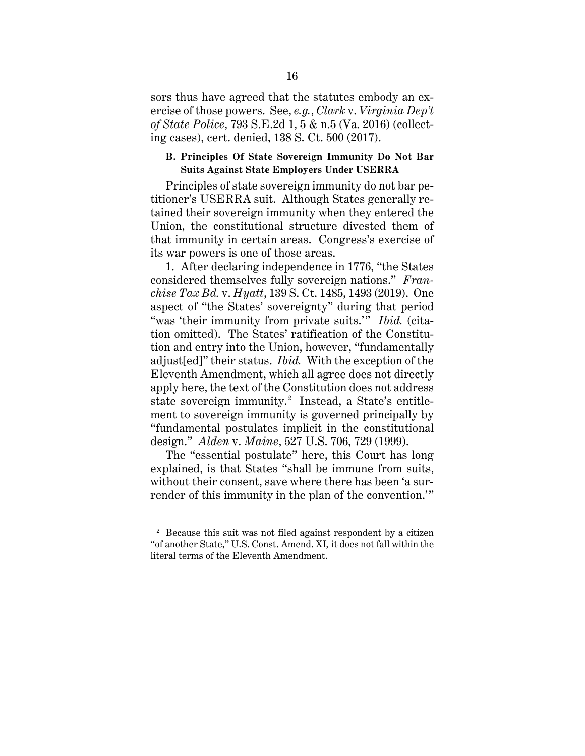sors thus have agreed that the statutes embody an exercise of those powers. See, *e.g.*, *Clark* v. *Virginia Dep't of State Police*, 793 S.E.2d 1, 5 & n.5 (Va. 2016) (collecting cases), cert. denied, 138 S. Ct. 500 (2017).

## **B. Principles Of State Sovereign Immunity Do Not Bar Suits Against State Employers Under USERRA**

Principles of state sovereign immunity do not bar petitioner's USERRA suit. Although States generally retained their sovereign immunity when they entered the Union, the constitutional structure divested them of that immunity in certain areas. Congress's exercise of its war powers is one of those areas.

1. After declaring independence in 1776, "the States considered themselves fully sovereign nations." *Franchise Tax Bd.* v. *Hyatt*, 139 S. Ct. 1485, 1493 (2019). One aspect of "the States' sovereignty" during that period "was 'their immunity from private suits.'" *Ibid.* (citation omitted). The States' ratification of the Constitution and entry into the Union, however, "fundamentally adjust[ed]" their status. *Ibid.* With the exception of the Eleventh Amendment, which all agree does not directly apply here, the text of the Constitution does not address state sovereign immunity. 2 Instead, a State's entitlement to sovereign immunity is governed principally by "fundamental postulates implicit in the constitutional design." *Alden* v. *Maine*, 527 U.S. 706, 729 (1999).

The "essential postulate" here, this Court has long explained, is that States "shall be immune from suits, without their consent, save where there has been 'a surrender of this immunity in the plan of the convention.'"

<sup>2</sup> Because this suit was not filed against respondent by a citizen "of another State," U.S. Const. Amend. XI*,* it does not fall within the literal terms of the Eleventh Amendment.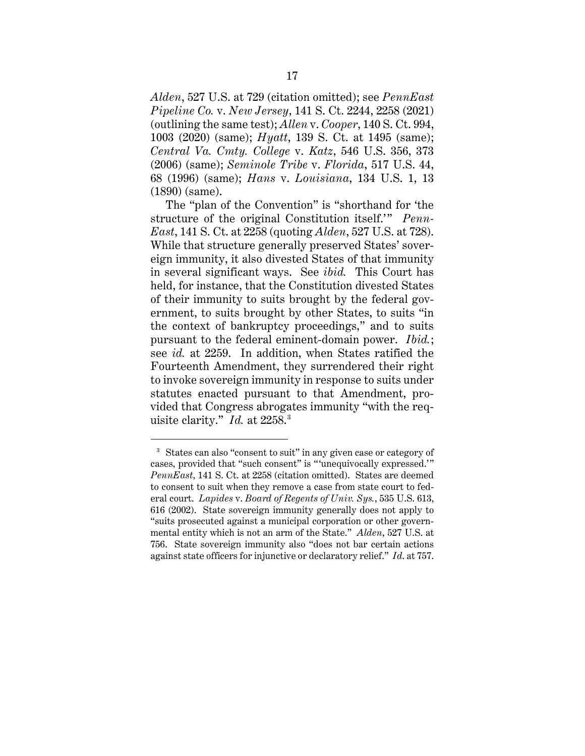*Alden*, 527 U.S. at 729 (citation omitted); see *PennEast Pipeline Co.* v. *New Jersey*, 141 S. Ct. 2244, 2258 (2021) (outlining the same test); *Allen* v. *Cooper*, 140 S. Ct. 994, 1003 (2020) (same); *Hyatt*, 139 S. Ct. at 1495 (same); *Central Va. Cmty. College* v. *Katz*, 546 U.S. 356, 373 (2006) (same); *Seminole Tribe* v. *Florida*, 517 U.S. 44, 68 (1996) (same); *Hans* v. *Louisiana*, 134 U.S. 1, 13 (1890) (same).

The "plan of the Convention" is "shorthand for 'the structure of the original Constitution itself.'" *Penn-East*, 141 S. Ct. at 2258 (quoting *Alden*, 527 U.S. at 728). While that structure generally preserved States' sovereign immunity, it also divested States of that immunity in several significant ways. See *ibid.* This Court has held, for instance, that the Constitution divested States of their immunity to suits brought by the federal government, to suits brought by other States, to suits "in the context of bankruptcy proceedings," and to suits pursuant to the federal eminent-domain power. *Ibid.*; see *id.* at 2259. In addition, when States ratified the Fourteenth Amendment, they surrendered their right to invoke sovereign immunity in response to suits under statutes enacted pursuant to that Amendment, provided that Congress abrogates immunity "with the requisite clarity." *Id.* at 2258.3

<sup>&</sup>lt;sup>3</sup> States can also "consent to suit" in any given case or category of cases, provided that "such consent" is "'unequivocally expressed.'" *PennEast*, 141 S. Ct. at 2258 (citation omitted). States are deemed to consent to suit when they remove a case from state court to federal court. *Lapides* v. *Board of Regents of Univ. Sys.*, 535 U.S. 613, 616 (2002). State sovereign immunity generally does not apply to "suits prosecuted against a municipal corporation or other governmental entity which is not an arm of the State." *Alden*, 527 U.S. at 756. State sovereign immunity also "does not bar certain actions against state officers for injunctive or declaratory relief." *Id*. at 757.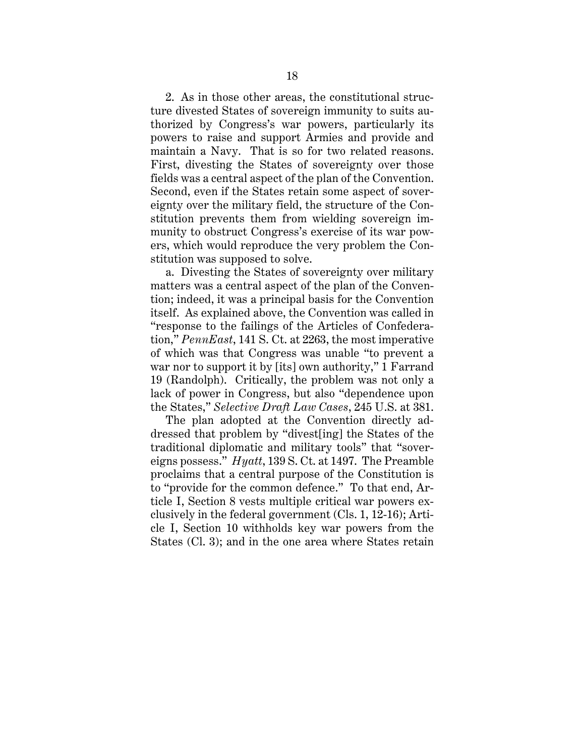2. As in those other areas, the constitutional structure divested States of sovereign immunity to suits authorized by Congress's war powers, particularly its powers to raise and support Armies and provide and maintain a Navy. That is so for two related reasons. First, divesting the States of sovereignty over those fields was a central aspect of the plan of the Convention. Second, even if the States retain some aspect of sovereignty over the military field, the structure of the Constitution prevents them from wielding sovereign immunity to obstruct Congress's exercise of its war powers, which would reproduce the very problem the Constitution was supposed to solve.

a. Divesting the States of sovereignty over military matters was a central aspect of the plan of the Convention; indeed, it was a principal basis for the Convention itself. As explained above, the Convention was called in "response to the failings of the Articles of Confederation," *PennEast*, 141 S. Ct. at 2263, the most imperative of which was that Congress was unable "to prevent a war nor to support it by [its] own authority," 1 Farrand 19 (Randolph). Critically, the problem was not only a lack of power in Congress, but also "dependence upon the States," *Selective Draft Law Cases*, 245 U.S. at 381.

The plan adopted at the Convention directly addressed that problem by "divest[ing] the States of the traditional diplomatic and military tools" that "sovereigns possess." *Hyatt*, 139 S. Ct. at 1497. The Preamble proclaims that a central purpose of the Constitution is to "provide for the common defence." To that end, Article I, Section 8 vests multiple critical war powers exclusively in the federal government (Cls. 1, 12-16); Article I, Section 10 withholds key war powers from the States (Cl. 3); and in the one area where States retain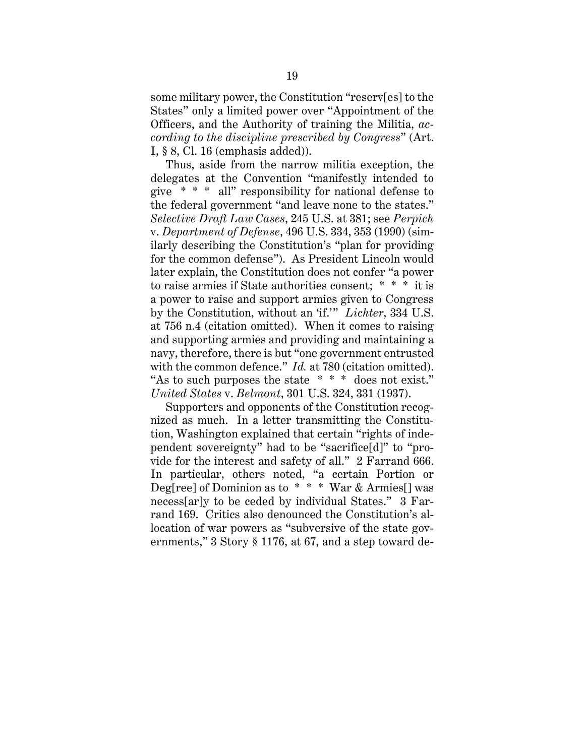some military power, the Constitution "reserv[es] to the States" only a limited power over "Appointment of the Officers, and the Authority of training the Militia, *according to the discipline prescribed by Congress*" (Art. I, § 8, Cl. 16 (emphasis added)).

Thus, aside from the narrow militia exception, the delegates at the Convention "manifestly intended to give \* \* \* all" responsibility for national defense to the federal government "and leave none to the states." *Selective Draft Law Cases*, 245 U.S. at 381; see *Perpich*  v. *Department of Defense*, 496 U.S. 334, 353 (1990) (similarly describing the Constitution's "plan for providing for the common defense"). As President Lincoln would later explain, the Constitution does not confer "a power to raise armies if State authorities consent; \* \* \* it is a power to raise and support armies given to Congress by the Constitution, without an 'if.'" *Lichter*, 334 U.S. at 756 n.4 (citation omitted). When it comes to raising and supporting armies and providing and maintaining a navy, therefore, there is but "one government entrusted with the common defence." *Id.* at 780 (citation omitted). "As to such purposes the state \* \* \* does not exist." *United States* v. *Belmont*, 301 U.S. 324, 331 (1937).

Supporters and opponents of the Constitution recognized as much. In a letter transmitting the Constitution, Washington explained that certain "rights of independent sovereignty" had to be "sacrifice[d]" to "provide for the interest and safety of all." 2 Farrand 666. In particular, others noted, "a certain Portion or Deg[ree] of Dominion as to \* \* \* War & Armies[] was necess[ar]y to be ceded by individual States." 3 Farrand 169. Critics also denounced the Constitution's allocation of war powers as "subversive of the state governments," 3 Story § 1176, at 67, and a step toward de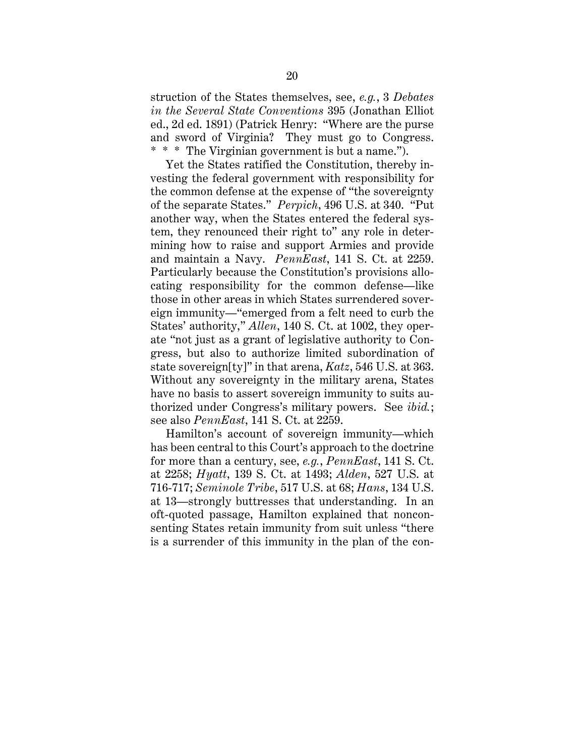struction of the States themselves, see, *e.g.*, 3 *Debates in the Several State Conventions* 395 (Jonathan Elliot ed., 2d ed. 1891) (Patrick Henry: "Where are the purse and sword of Virginia? They must go to Congress. \* \* \* The Virginian government is but a name.").

Yet the States ratified the Constitution, thereby investing the federal government with responsibility for the common defense at the expense of "the sovereignty of the separate States." *Perpich*, 496 U.S. at 340. "Put another way, when the States entered the federal system, they renounced their right to" any role in determining how to raise and support Armies and provide and maintain a Navy. *PennEast*, 141 S. Ct. at 2259. Particularly because the Constitution's provisions allocating responsibility for the common defense—like those in other areas in which States surrendered sovereign immunity—"emerged from a felt need to curb the States' authority," *Allen*, 140 S. Ct. at 1002, they operate "not just as a grant of legislative authority to Congress, but also to authorize limited subordination of state sovereign[ty]" in that arena, *Katz*, 546 U.S. at 363. Without any sovereignty in the military arena, States have no basis to assert sovereign immunity to suits authorized under Congress's military powers. See *ibid.*; see also *PennEast*, 141 S. Ct. at 2259.

Hamilton's account of sovereign immunity—which has been central to this Court's approach to the doctrine for more than a century, see, *e.g.*, *PennEast*, 141 S. Ct. at 2258; *Hyatt*, 139 S. Ct. at 1493; *Alden*, 527 U.S. at 716-717; *Seminole Tribe*, 517 U.S. at 68; *Hans*, 134 U.S. at 13—strongly buttresses that understanding. In an oft-quoted passage, Hamilton explained that nonconsenting States retain immunity from suit unless "there is a surrender of this immunity in the plan of the con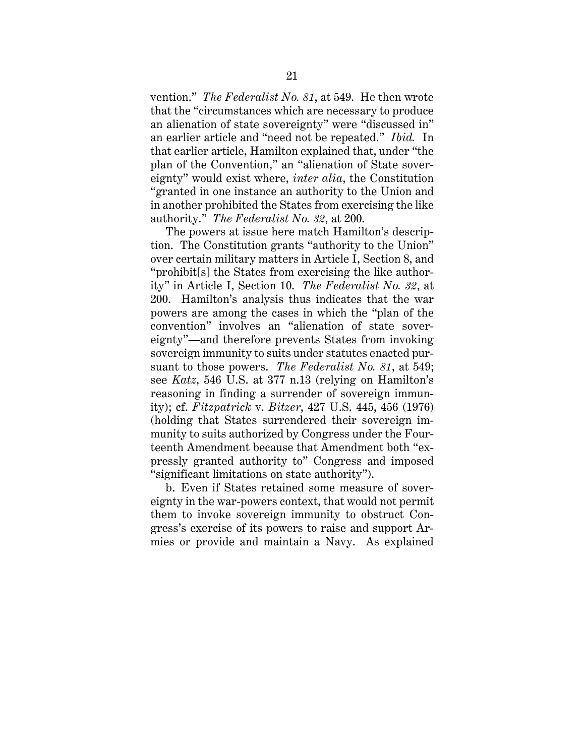vention." *The Federalist No. 81*, at 549. He then wrote that the "circumstances which are necessary to produce an alienation of state sovereignty" were "discussed in" an earlier article and "need not be repeated." *Ibid.* In that earlier article, Hamilton explained that, under "the plan of the Convention," an "alienation of State sovereignty" would exist where, *inter alia*, the Constitution "granted in one instance an authority to the Union and in another prohibited the States from exercising the like authority." *The Federalist No. 32*, at 200.

The powers at issue here match Hamilton's description. The Constitution grants "authority to the Union" over certain military matters in Article I, Section 8, and "prohibit[s] the States from exercising the like authority" in Article I, Section 10. *The Federalist No. 32*, at 200. Hamilton's analysis thus indicates that the war powers are among the cases in which the "plan of the convention" involves an "alienation of state sovereignty"—and therefore prevents States from invoking sovereign immunity to suits under statutes enacted pursuant to those powers. *The Federalist No. 81*, at 549; see *Katz*, 546 U.S. at 377 n.13 (relying on Hamilton's reasoning in finding a surrender of sovereign immunity); cf. *Fitzpatrick* v. *Bitzer*, 427 U.S. 445, 456 (1976) (holding that States surrendered their sovereign immunity to suits authorized by Congress under the Fourteenth Amendment because that Amendment both "expressly granted authority to" Congress and imposed "significant limitations on state authority").

b. Even if States retained some measure of sovereignty in the war-powers context, that would not permit them to invoke sovereign immunity to obstruct Congress's exercise of its powers to raise and support Armies or provide and maintain a Navy. As explained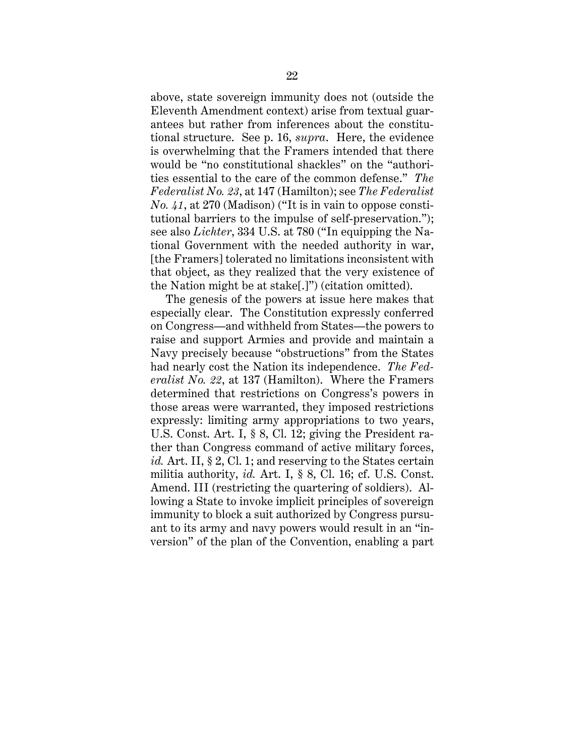above, state sovereign immunity does not (outside the Eleventh Amendment context) arise from textual guarantees but rather from inferences about the constitutional structure. See p. 16, *supra*. Here, the evidence is overwhelming that the Framers intended that there would be "no constitutional shackles" on the "authorities essential to the care of the common defense." *The Federalist No. 23*, at 147 (Hamilton); see *The Federalist No. 41*, at 270 (Madison) ("It is in vain to oppose constitutional barriers to the impulse of self-preservation."); see also *Lichter*, 334 U.S. at 780 ("In equipping the National Government with the needed authority in war, [the Framers] tolerated no limitations inconsistent with that object, as they realized that the very existence of the Nation might be at stake[.]") (citation omitted).

The genesis of the powers at issue here makes that especially clear. The Constitution expressly conferred on Congress—and withheld from States—the powers to raise and support Armies and provide and maintain a Navy precisely because "obstructions" from the States had nearly cost the Nation its independence. *The Federalist No. 22*, at 137 (Hamilton). Where the Framers determined that restrictions on Congress's powers in those areas were warranted, they imposed restrictions expressly: limiting army appropriations to two years, U.S. Const. Art. I, § 8, Cl. 12; giving the President rather than Congress command of active military forces, *id.* Art. II, § 2, Cl. 1; and reserving to the States certain militia authority, *id.* Art. I, § 8, Cl. 16; cf. U.S. Const. Amend. III (restricting the quartering of soldiers). Allowing a State to invoke implicit principles of sovereign immunity to block a suit authorized by Congress pursuant to its army and navy powers would result in an "inversion" of the plan of the Convention, enabling a part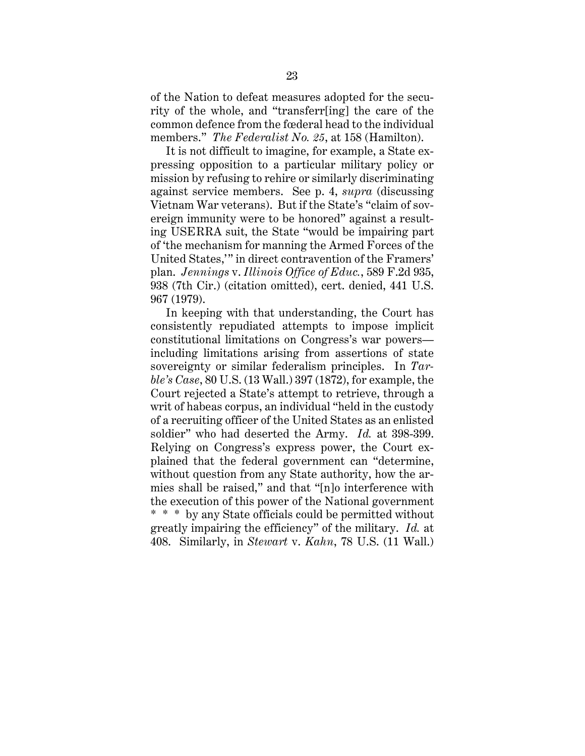of the Nation to defeat measures adopted for the security of the whole, and "transferr[ing] the care of the common defence from the fœderal head to the individual members." *The Federalist No. 25*, at 158 (Hamilton).

It is not difficult to imagine, for example, a State expressing opposition to a particular military policy or mission by refusing to rehire or similarly discriminating against service members. See p. 4, *supra* (discussing Vietnam War veterans). But if the State's "claim of sovereign immunity were to be honored" against a resulting USERRA suit, the State "would be impairing part of 'the mechanism for manning the Armed Forces of the United States,'" in direct contravention of the Framers' plan. *Jennings* v. *Illinois Office of Educ.*, 589 F.2d 935, 938 (7th Cir.) (citation omitted), cert. denied, 441 U.S. 967 (1979).

In keeping with that understanding, the Court has consistently repudiated attempts to impose implicit constitutional limitations on Congress's war powers including limitations arising from assertions of state sovereignty or similar federalism principles. In *Tarble's Case*, 80 U.S. (13 Wall.) 397 (1872), for example, the Court rejected a State's attempt to retrieve, through a writ of habeas corpus, an individual "held in the custody of a recruiting officer of the United States as an enlisted soldier" who had deserted the Army. *Id.* at 398-399. Relying on Congress's express power, the Court explained that the federal government can "determine, without question from any State authority, how the armies shall be raised," and that "[n]o interference with the execution of this power of the National government \* \* \* by any State officials could be permitted without greatly impairing the efficiency" of the military. *Id.* at 408. Similarly, in *Stewart* v. *Kahn*, 78 U.S. (11 Wall.)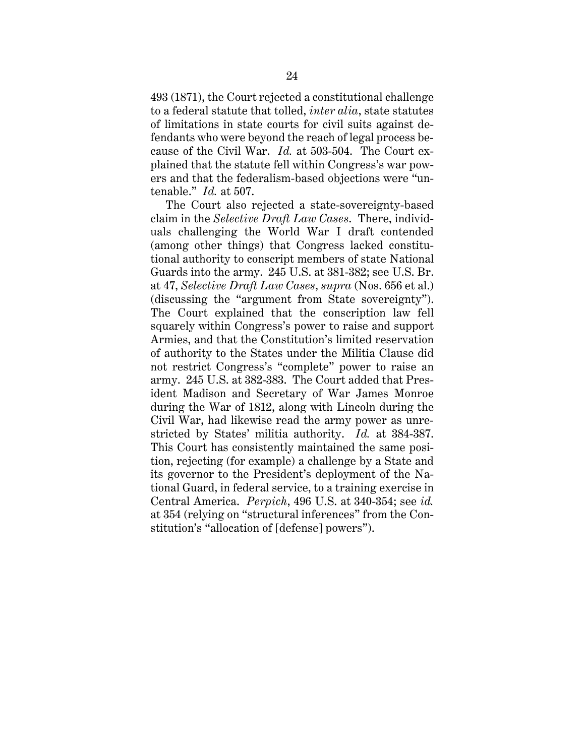493 (1871), the Court rejected a constitutional challenge to a federal statute that tolled, *inter alia*, state statutes of limitations in state courts for civil suits against defendants who were beyond the reach of legal process because of the Civil War. *Id.* at 503-504. The Court explained that the statute fell within Congress's war powers and that the federalism-based objections were "untenable." *Id.* at 507.

The Court also rejected a state-sovereignty-based claim in the *Selective Draft Law Cases*. There, individuals challenging the World War I draft contended (among other things) that Congress lacked constitutional authority to conscript members of state National Guards into the army. 245 U.S. at 381-382; see U.S. Br. at 47, *Selective Draft Law Cases*, *supra* (Nos. 656 et al.) (discussing the "argument from State sovereignty"). The Court explained that the conscription law fell squarely within Congress's power to raise and support Armies, and that the Constitution's limited reservation of authority to the States under the Militia Clause did not restrict Congress's "complete" power to raise an army. 245 U.S. at 382-383. The Court added that President Madison and Secretary of War James Monroe during the War of 1812, along with Lincoln during the Civil War, had likewise read the army power as unrestricted by States' militia authority. *Id.* at 384-387. This Court has consistently maintained the same position, rejecting (for example) a challenge by a State and its governor to the President's deployment of the National Guard, in federal service, to a training exercise in Central America. *Perpich*, 496 U.S. at 340-354; see *id.* at 354 (relying on "structural inferences" from the Constitution's "allocation of [defense] powers").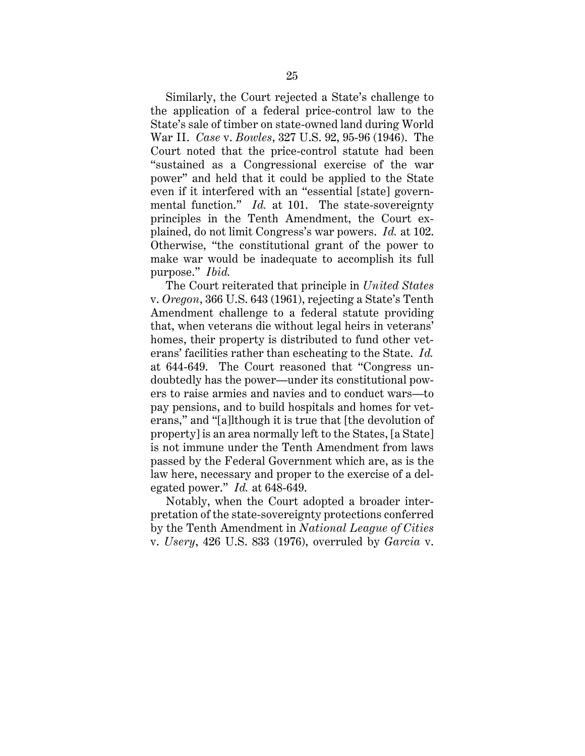Similarly, the Court rejected a State's challenge to the application of a federal price-control law to the State's sale of timber on state-owned land during World War II. *Case* v. *Bowles*, 327 U.S. 92, 95-96 (1946). The Court noted that the price-control statute had been "sustained as a Congressional exercise of the war power" and held that it could be applied to the State even if it interfered with an "essential [state] governmental function." *Id.* at 101. The state-sovereignty principles in the Tenth Amendment, the Court explained, do not limit Congress's war powers. *Id.* at 102. Otherwise, "the constitutional grant of the power to make war would be inadequate to accomplish its full purpose." *Ibid.*

The Court reiterated that principle in *United States*  v. *Oregon*, 366 U.S. 643 (1961), rejecting a State's Tenth Amendment challenge to a federal statute providing that, when veterans die without legal heirs in veterans' homes, their property is distributed to fund other veterans' facilities rather than escheating to the State. *Id.*  at 644-649. The Court reasoned that "Congress undoubtedly has the power—under its constitutional powers to raise armies and navies and to conduct wars—to pay pensions, and to build hospitals and homes for veterans," and "[a]lthough it is true that [the devolution of property] is an area normally left to the States, [a State] is not immune under the Tenth Amendment from laws passed by the Federal Government which are, as is the law here, necessary and proper to the exercise of a delegated power." *Id.* at 648-649.

Notably, when the Court adopted a broader interpretation of the state-sovereignty protections conferred by the Tenth Amendment in *National League of Cities* v. *Usery*, 426 U.S. 833 (1976), overruled by *Garcia* v.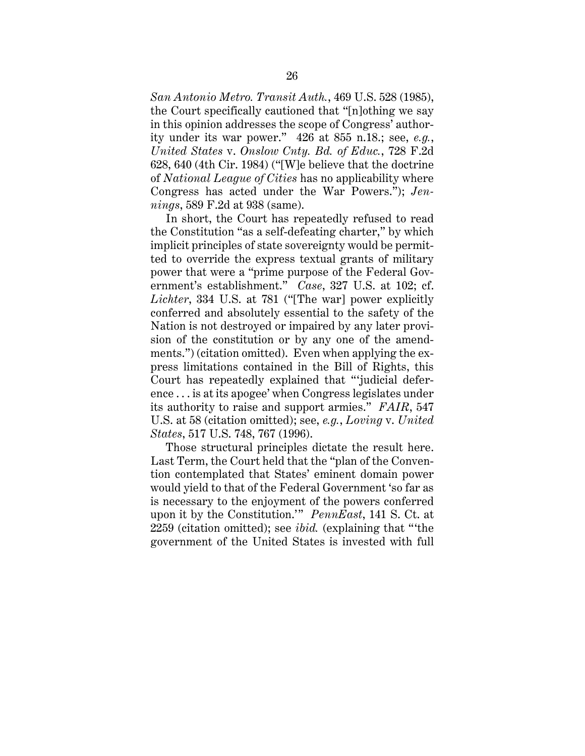*San Antonio Metro. Transit Auth.*, 469 U.S. 528 (1985), the Court specifically cautioned that "[n]othing we say in this opinion addresses the scope of Congress' authority under its war power." 426 at 855 n.18.; see, *e.g.*, *United States* v. *Onslow Cnty. Bd. of Educ.*, 728 F.2d 628, 640 (4th Cir. 1984) ("[W]e believe that the doctrine of *National League of Cities* has no applicability where Congress has acted under the War Powers."); *Jennings*, 589 F.2d at 938 (same).

In short, the Court has repeatedly refused to read the Constitution "as a self-defeating charter," by which implicit principles of state sovereignty would be permitted to override the express textual grants of military power that were a "prime purpose of the Federal Government's establishment." *Case*, 327 U.S. at 102; cf. *Lichter*, 334 U.S. at 781 ("[The war] power explicitly conferred and absolutely essential to the safety of the Nation is not destroyed or impaired by any later provision of the constitution or by any one of the amendments.") (citation omitted). Even when applying the express limitations contained in the Bill of Rights, this Court has repeatedly explained that "'judicial deference . . . is at its apogee' when Congress legislates under its authority to raise and support armies." *FAIR*, 547 U.S. at 58 (citation omitted); see, *e.g.*, *Loving* v. *United States*, 517 U.S. 748, 767 (1996).

Those structural principles dictate the result here. Last Term, the Court held that the "plan of the Convention contemplated that States' eminent domain power would yield to that of the Federal Government 'so far as is necessary to the enjoyment of the powers conferred upon it by the Constitution.'" *PennEast*, 141 S. Ct. at 2259 (citation omitted); see *ibid.* (explaining that "'the government of the United States is invested with full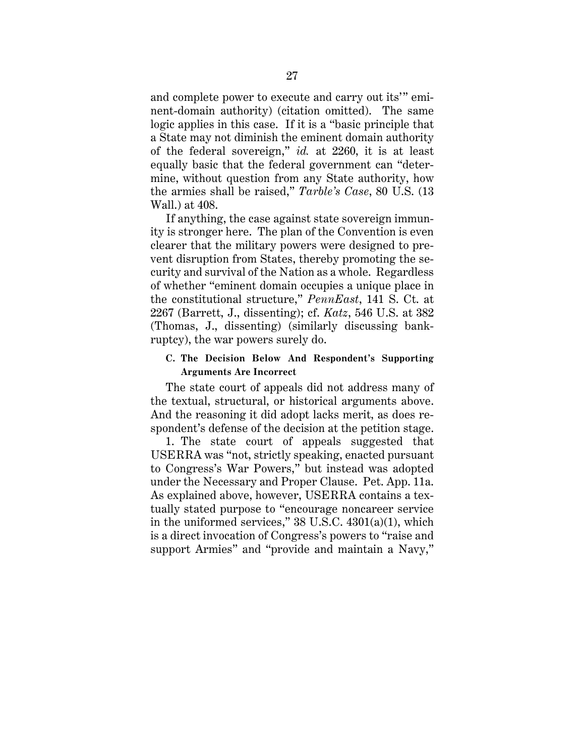and complete power to execute and carry out its'" eminent-domain authority) (citation omitted). The same logic applies in this case. If it is a "basic principle that a State may not diminish the eminent domain authority of the federal sovereign," *id.* at 2260, it is at least equally basic that the federal government can "determine, without question from any State authority, how the armies shall be raised," *Tarble's Case*, 80 U.S. (13 Wall.) at 408.

If anything, the case against state sovereign immunity is stronger here. The plan of the Convention is even clearer that the military powers were designed to prevent disruption from States, thereby promoting the security and survival of the Nation as a whole. Regardless of whether "eminent domain occupies a unique place in the constitutional structure," *PennEast*, 141 S. Ct. at 2267 (Barrett, J., dissenting); cf. *Katz*, 546 U.S. at 382 (Thomas, J., dissenting) (similarly discussing bankruptcy), the war powers surely do.

## **C. The Decision Below And Respondent's Supporting Arguments Are Incorrect**

The state court of appeals did not address many of the textual, structural, or historical arguments above. And the reasoning it did adopt lacks merit, as does respondent's defense of the decision at the petition stage.

1. The state court of appeals suggested that USERRA was "not, strictly speaking, enacted pursuant to Congress's War Powers," but instead was adopted under the Necessary and Proper Clause. Pet. App. 11a. As explained above, however, USERRA contains a textually stated purpose to "encourage noncareer service in the uniformed services," 38 U.S.C. 4301(a)(1), which is a direct invocation of Congress's powers to "raise and support Armies" and "provide and maintain a Navy,"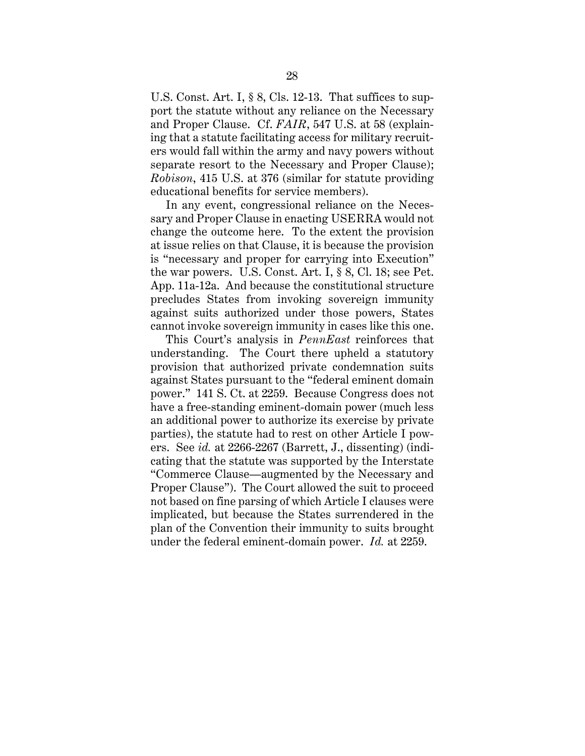U.S. Const. Art. I, § 8, Cls. 12-13. That suffices to support the statute without any reliance on the Necessary and Proper Clause. Cf. *FAIR*, 547 U.S. at 58 (explaining that a statute facilitating access for military recruiters would fall within the army and navy powers without separate resort to the Necessary and Proper Clause); *Robison*, 415 U.S. at 376 (similar for statute providing educational benefits for service members).

In any event, congressional reliance on the Necessary and Proper Clause in enacting USERRA would not change the outcome here. To the extent the provision at issue relies on that Clause, it is because the provision is "necessary and proper for carrying into Execution" the war powers. U.S. Const. Art. I, § 8, Cl. 18; see Pet. App. 11a-12a. And because the constitutional structure precludes States from invoking sovereign immunity against suits authorized under those powers, States cannot invoke sovereign immunity in cases like this one.

This Court's analysis in *PennEast* reinforces that understanding. The Court there upheld a statutory provision that authorized private condemnation suits against States pursuant to the "federal eminent domain power." 141 S. Ct. at 2259. Because Congress does not have a free-standing eminent-domain power (much less an additional power to authorize its exercise by private parties), the statute had to rest on other Article I powers. See *id.* at 2266-2267 (Barrett, J., dissenting) (indicating that the statute was supported by the Interstate "Commerce Clause—augmented by the Necessary and Proper Clause"). The Court allowed the suit to proceed not based on fine parsing of which Article I clauses were implicated, but because the States surrendered in the plan of the Convention their immunity to suits brought under the federal eminent-domain power. *Id.* at 2259.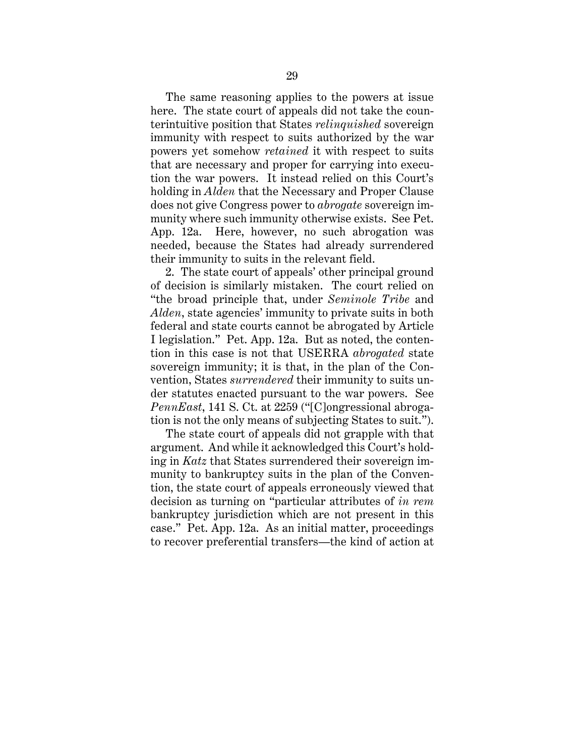The same reasoning applies to the powers at issue here. The state court of appeals did not take the counterintuitive position that States *relinquished* sovereign immunity with respect to suits authorized by the war powers yet somehow *retained* it with respect to suits that are necessary and proper for carrying into execution the war powers. It instead relied on this Court's holding in *Alden* that the Necessary and Proper Clause does not give Congress power to *abrogate* sovereign immunity where such immunity otherwise exists. See Pet. App. 12a. Here, however, no such abrogation was needed, because the States had already surrendered their immunity to suits in the relevant field.

2. The state court of appeals' other principal ground of decision is similarly mistaken. The court relied on "the broad principle that, under *Seminole Tribe* and *Alden*, state agencies' immunity to private suits in both federal and state courts cannot be abrogated by Article I legislation." Pet. App. 12a. But as noted, the contention in this case is not that USERRA *abrogated* state sovereign immunity; it is that, in the plan of the Convention, States *surrendered* their immunity to suits under statutes enacted pursuant to the war powers. See *PennEast*, 141 S. Ct. at 2259 ("[C]ongressional abrogation is not the only means of subjecting States to suit.").

The state court of appeals did not grapple with that argument. And while it acknowledged this Court's holding in *Katz* that States surrendered their sovereign immunity to bankruptcy suits in the plan of the Convention, the state court of appeals erroneously viewed that decision as turning on "particular attributes of *in rem* bankruptcy jurisdiction which are not present in this case." Pet. App. 12a. As an initial matter, proceedings to recover preferential transfers—the kind of action at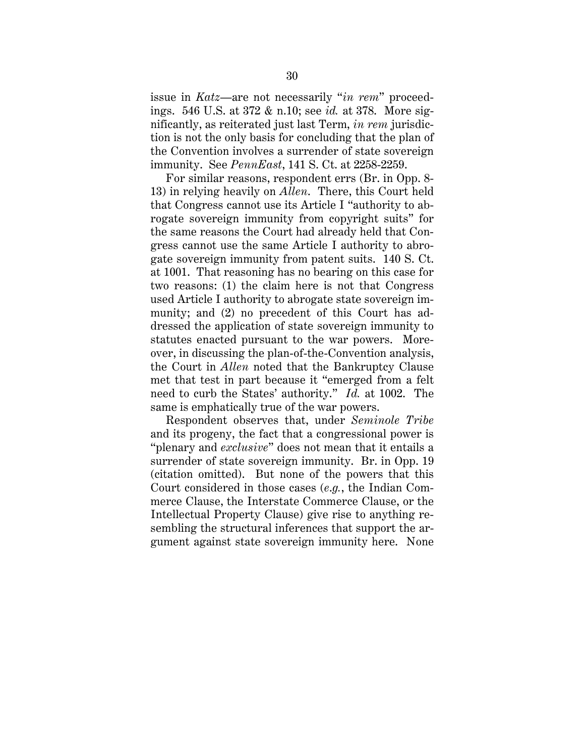issue in *Katz*—are not necessarily "*in rem*" proceedings. 546 U.S. at 372 & n.10; see *id.* at 378. More significantly, as reiterated just last Term, *in rem* jurisdiction is not the only basis for concluding that the plan of the Convention involves a surrender of state sovereign immunity. See *PennEast*, 141 S. Ct. at 2258-2259.

For similar reasons, respondent errs (Br. in Opp. 8- 13) in relying heavily on *Allen*. There, this Court held that Congress cannot use its Article I "authority to abrogate sovereign immunity from copyright suits" for the same reasons the Court had already held that Congress cannot use the same Article I authority to abrogate sovereign immunity from patent suits. 140 S. Ct. at 1001. That reasoning has no bearing on this case for two reasons: (1) the claim here is not that Congress used Article I authority to abrogate state sovereign immunity; and (2) no precedent of this Court has addressed the application of state sovereign immunity to statutes enacted pursuant to the war powers. Moreover, in discussing the plan-of-the-Convention analysis, the Court in *Allen* noted that the Bankruptcy Clause met that test in part because it "emerged from a felt need to curb the States' authority." *Id.* at 1002. The same is emphatically true of the war powers.

Respondent observes that, under *Seminole Tribe* and its progeny, the fact that a congressional power is "plenary and *exclusive*" does not mean that it entails a surrender of state sovereign immunity. Br. in Opp. 19 (citation omitted). But none of the powers that this Court considered in those cases (*e*.*g.*, the Indian Commerce Clause, the Interstate Commerce Clause, or the Intellectual Property Clause) give rise to anything resembling the structural inferences that support the argument against state sovereign immunity here. None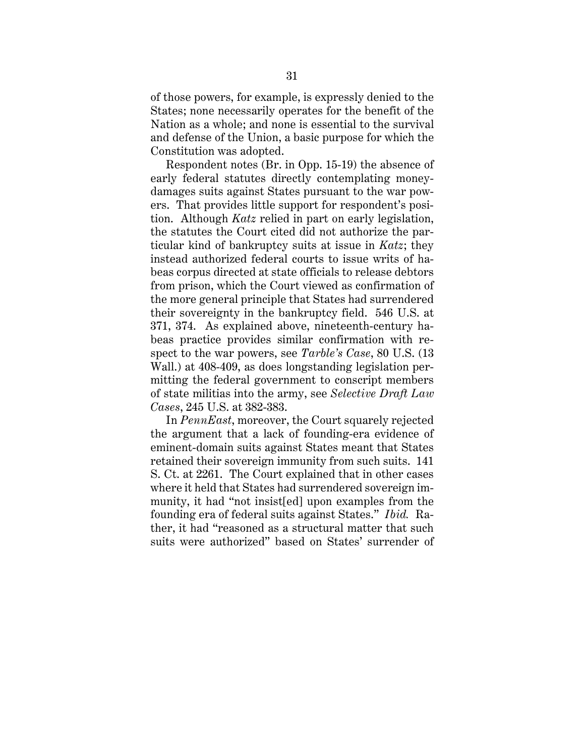of those powers, for example, is expressly denied to the States; none necessarily operates for the benefit of the Nation as a whole; and none is essential to the survival and defense of the Union, a basic purpose for which the Constitution was adopted.

Respondent notes (Br. in Opp. 15-19) the absence of early federal statutes directly contemplating moneydamages suits against States pursuant to the war powers. That provides little support for respondent's position. Although *Katz* relied in part on early legislation, the statutes the Court cited did not authorize the particular kind of bankruptcy suits at issue in *Katz*; they instead authorized federal courts to issue writs of habeas corpus directed at state officials to release debtors from prison, which the Court viewed as confirmation of the more general principle that States had surrendered their sovereignty in the bankruptcy field. 546 U.S. at 371, 374. As explained above, nineteenth-century habeas practice provides similar confirmation with respect to the war powers, see *Tarble's Case*, 80 U.S. (13 Wall.) at 408-409, as does longstanding legislation permitting the federal government to conscript members of state militias into the army, see *Selective Draft Law Cases*, 245 U.S. at 382-383.

In *PennEast*, moreover, the Court squarely rejected the argument that a lack of founding-era evidence of eminent-domain suits against States meant that States retained their sovereign immunity from such suits. 141 S. Ct. at 2261. The Court explained that in other cases where it held that States had surrendered sovereign immunity, it had "not insist[ed] upon examples from the founding era of federal suits against States." *Ibid.* Rather, it had "reasoned as a structural matter that such suits were authorized" based on States' surrender of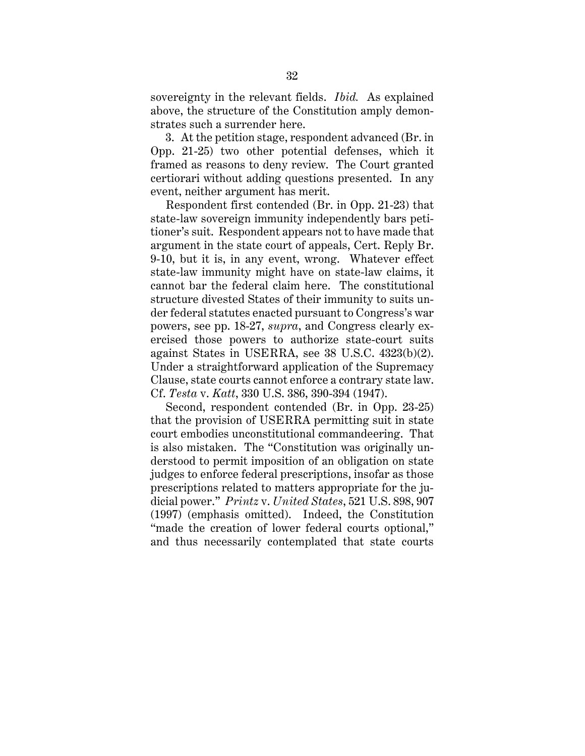sovereignty in the relevant fields. *Ibid.* As explained above, the structure of the Constitution amply demonstrates such a surrender here.

3. At the petition stage, respondent advanced (Br. in Opp. 21-25) two other potential defenses, which it framed as reasons to deny review. The Court granted certiorari without adding questions presented. In any event, neither argument has merit.

Respondent first contended (Br. in Opp. 21-23) that state-law sovereign immunity independently bars petitioner's suit. Respondent appears not to have made that argument in the state court of appeals, Cert. Reply Br. 9-10, but it is, in any event, wrong. Whatever effect state-law immunity might have on state-law claims, it cannot bar the federal claim here. The constitutional structure divested States of their immunity to suits under federal statutes enacted pursuant to Congress's war powers, see pp. 18-27, *supra*, and Congress clearly exercised those powers to authorize state-court suits against States in USERRA, see 38 U.S.C. 4323(b)(2). Under a straightforward application of the Supremacy Clause, state courts cannot enforce a contrary state law. Cf. *Testa* v. *Katt*, 330 U.S. 386, 390-394 (1947).

Second, respondent contended (Br. in Opp. 23-25) that the provision of USERRA permitting suit in state court embodies unconstitutional commandeering. That is also mistaken. The "Constitution was originally understood to permit imposition of an obligation on state judges to enforce federal prescriptions, insofar as those prescriptions related to matters appropriate for the judicial power." *Printz* v. *United States*, 521 U.S. 898, 907 (1997) (emphasis omitted). Indeed, the Constitution "made the creation of lower federal courts optional," and thus necessarily contemplated that state courts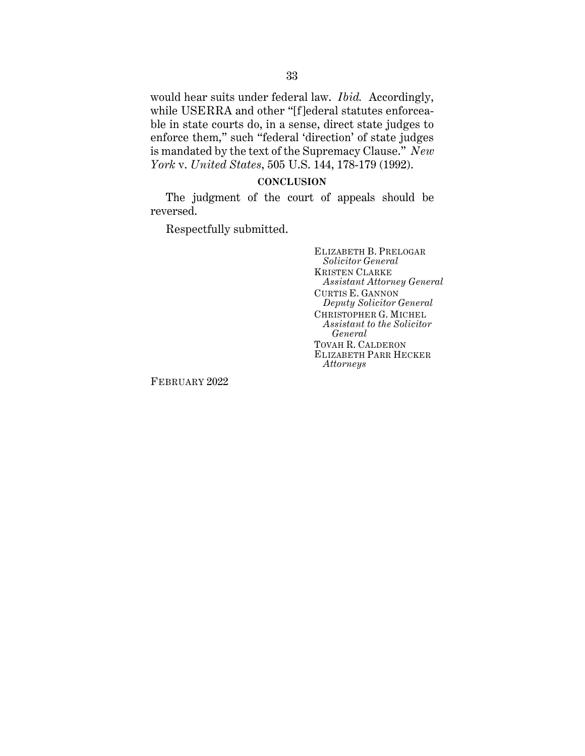would hear suits under federal law. *Ibid.* Accordingly, while USERRA and other "[f]ederal statutes enforceable in state courts do, in a sense, direct state judges to enforce them," such "federal 'direction' of state judges is mandated by the text of the Supremacy Clause." *New York* v. *United States*, 505 U.S. 144, 178-179 (1992).

## **CONCLUSION**

The judgment of the court of appeals should be reversed.

Respectfully submitted.

ELIZABETH B. PRELOGAR *Solicitor General* KRISTEN CLARKE *Assistant Attorney General* CURTIS E. GANNON *Deputy Solicitor General* CHRISTOPHER G. MICHEL *Assistant to the Solicitor General* TOVAH R. CALDERON ELIZABETH PARR HECKER *Attorneys*

FEBRUARY 2022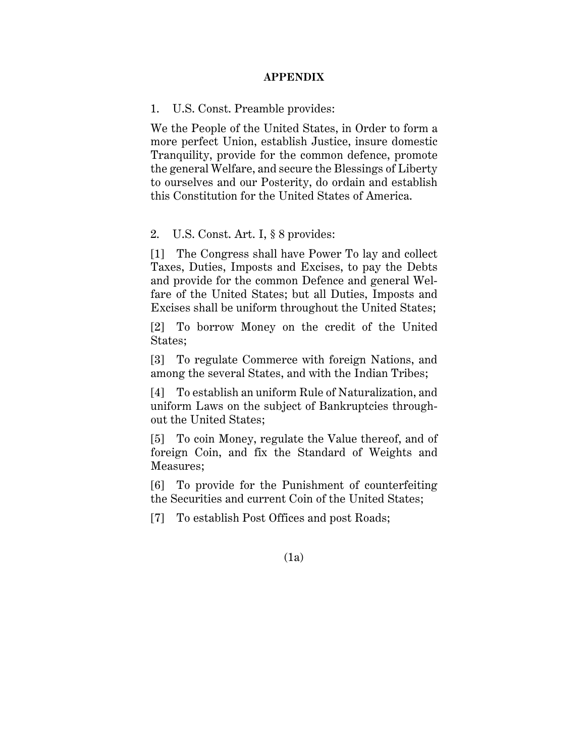## **APPENDIX**

1. U.S. Const. Preamble provides:

We the People of the United States, in Order to form a more perfect Union, establish Justice, insure domestic Tranquility, provide for the common defence, promote the general Welfare, and secure the Blessings of Liberty to ourselves and our Posterity, do ordain and establish this Constitution for the United States of America.

## 2. U.S. Const. Art. I, § 8 provides:

[1] The Congress shall have Power To lay and collect Taxes, Duties, Imposts and Excises, to pay the Debts and provide for the common Defence and general Welfare of the United States; but all Duties, Imposts and Excises shall be uniform throughout the United States;

[2] To borrow Money on the credit of the United States;

[3] To regulate Commerce with foreign Nations, and among the several States, and with the Indian Tribes;

[4] To establish an uniform Rule of Naturalization, and uniform Laws on the subject of Bankruptcies throughout the United States;

[5] To coin Money, regulate the Value thereof, and of foreign Coin, and fix the Standard of Weights and Measures;

[6] To provide for the Punishment of counterfeiting the Securities and current Coin of the United States;

[7] To establish Post Offices and post Roads;

## (1a)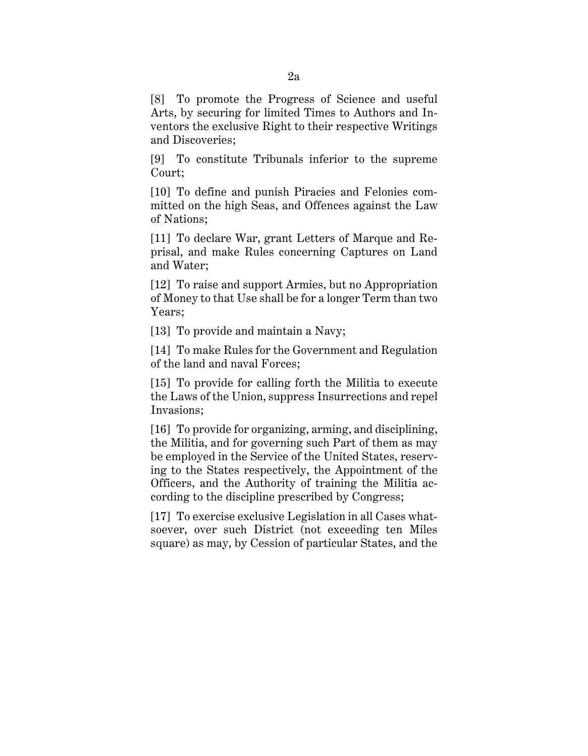[8] To promote the Progress of Science and useful Arts, by securing for limited Times to Authors and Inventors the exclusive Right to their respective Writings and Discoveries;

[9] To constitute Tribunals inferior to the supreme Court;

[10] To define and punish Piracies and Felonies committed on the high Seas, and Offences against the Law of Nations;

[11] To declare War, grant Letters of Marque and Reprisal, and make Rules concerning Captures on Land and Water;

[12] To raise and support Armies, but no Appropriation of Money to that Use shall be for a longer Term than two Years;

[13] To provide and maintain a Navy;

[14] To make Rules for the Government and Regulation of the land and naval Forces;

[15] To provide for calling forth the Militia to execute the Laws of the Union, suppress Insurrections and repel Invasions;

[16] To provide for organizing, arming, and disciplining, the Militia, and for governing such Part of them as may be employed in the Service of the United States, reserving to the States respectively, the Appointment of the Officers, and the Authority of training the Militia according to the discipline prescribed by Congress;

[17] To exercise exclusive Legislation in all Cases whatsoever, over such District (not exceeding ten Miles square) as may, by Cession of particular States, and the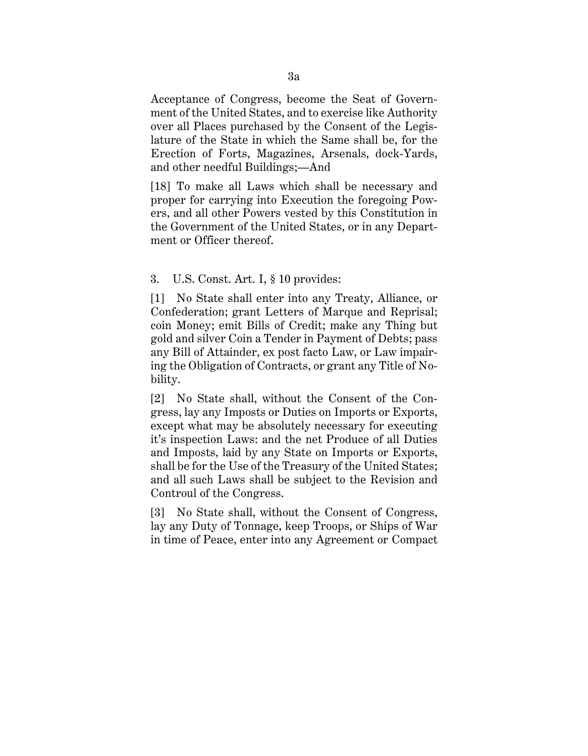Acceptance of Congress, become the Seat of Government of the United States, and to exercise like Authority over all Places purchased by the Consent of the Legislature of the State in which the Same shall be, for the Erection of Forts, Magazines, Arsenals, dock-Yards, and other needful Buildings;—And

[18] To make all Laws which shall be necessary and proper for carrying into Execution the foregoing Powers, and all other Powers vested by this Constitution in the Government of the United States, or in any Department or Officer thereof.

## 3. U.S. Const. Art. I, § 10 provides:

[1] No State shall enter into any Treaty, Alliance, or Confederation; grant Letters of Marque and Reprisal; coin Money; emit Bills of Credit; make any Thing but gold and silver Coin a Tender in Payment of Debts; pass any Bill of Attainder, ex post facto Law, or Law impairing the Obligation of Contracts, or grant any Title of Nobility.

[2] No State shall, without the Consent of the Congress, lay any Imposts or Duties on Imports or Exports, except what may be absolutely necessary for executing it's inspection Laws: and the net Produce of all Duties and Imposts, laid by any State on Imports or Exports, shall be for the Use of the Treasury of the United States; and all such Laws shall be subject to the Revision and Controul of the Congress.

[3] No State shall, without the Consent of Congress, lay any Duty of Tonnage, keep Troops, or Ships of War in time of Peace, enter into any Agreement or Compact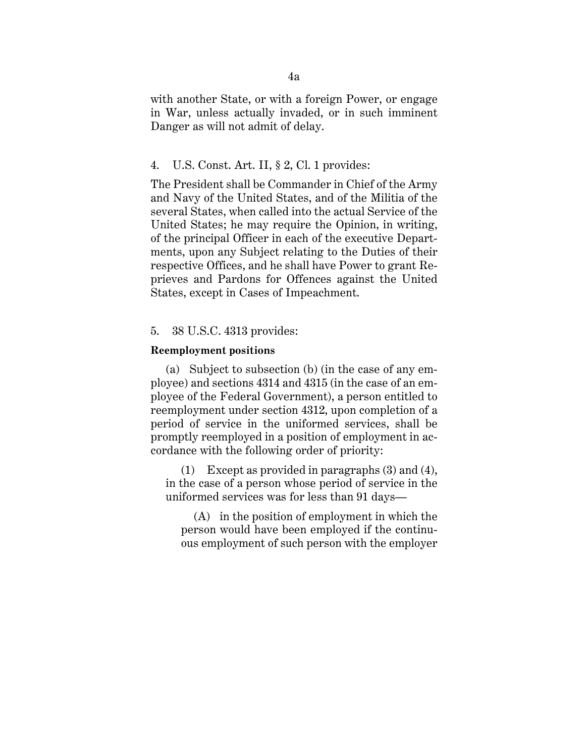with another State, or with a foreign Power, or engage in War, unless actually invaded, or in such imminent Danger as will not admit of delay.

## 4. U.S. Const. Art. II, § 2, Cl. 1 provides:

The President shall be Commander in Chief of the Army and Navy of the United States, and of the Militia of the several States, when called into the actual Service of the United States; he may require the Opinion, in writing, of the principal Officer in each of the executive Departments, upon any Subject relating to the Duties of their respective Offices, and he shall have Power to grant Reprieves and Pardons for Offences against the United States, except in Cases of Impeachment.

#### 5. 38 U.S.C. 4313 provides:

#### **Reemployment positions**

(a) Subject to subsection (b) (in the case of any employee) and sections 4314 and 4315 (in the case of an employee of the Federal Government), a person entitled to reemployment under section 4312, upon completion of a period of service in the uniformed services, shall be promptly reemployed in a position of employment in accordance with the following order of priority:

(1) Except as provided in paragraphs (3) and (4), in the case of a person whose period of service in the uniformed services was for less than 91 days—

(A) in the position of employment in which the person would have been employed if the continuous employment of such person with the employer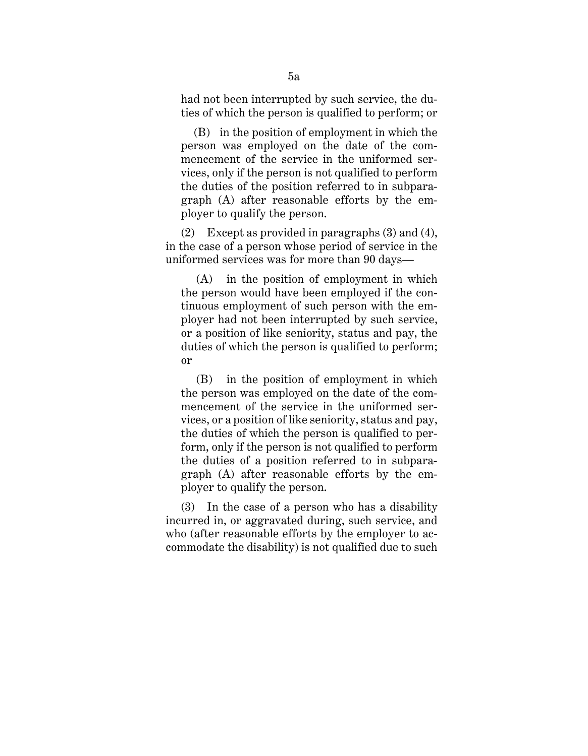had not been interrupted by such service, the duties of which the person is qualified to perform; or

(B) in the position of employment in which the person was employed on the date of the commencement of the service in the uniformed services, only if the person is not qualified to perform the duties of the position referred to in subparagraph (A) after reasonable efforts by the employer to qualify the person.

(2) Except as provided in paragraphs (3) and (4), in the case of a person whose period of service in the uniformed services was for more than 90 days—

(A) in the position of employment in which the person would have been employed if the continuous employment of such person with the employer had not been interrupted by such service, or a position of like seniority, status and pay, the duties of which the person is qualified to perform; or

(B) in the position of employment in which the person was employed on the date of the commencement of the service in the uniformed services, or a position of like seniority, status and pay, the duties of which the person is qualified to perform, only if the person is not qualified to perform the duties of a position referred to in subparagraph (A) after reasonable efforts by the employer to qualify the person.

(3) In the case of a person who has a disability incurred in, or aggravated during, such service, and who (after reasonable efforts by the employer to accommodate the disability) is not qualified due to such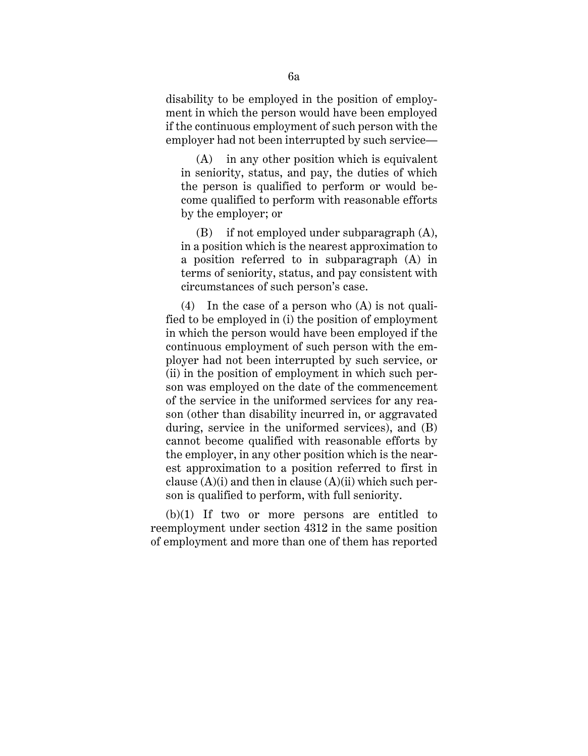disability to be employed in the position of employment in which the person would have been employed if the continuous employment of such person with the employer had not been interrupted by such service—

(A) in any other position which is equivalent in seniority, status, and pay, the duties of which the person is qualified to perform or would become qualified to perform with reasonable efforts by the employer; or

(B) if not employed under subparagraph (A), in a position which is the nearest approximation to a position referred to in subparagraph (A) in terms of seniority, status, and pay consistent with circumstances of such person's case.

(4) In the case of a person who (A) is not qualified to be employed in (i) the position of employment in which the person would have been employed if the continuous employment of such person with the employer had not been interrupted by such service, or (ii) in the position of employment in which such person was employed on the date of the commencement of the service in the uniformed services for any reason (other than disability incurred in, or aggravated during, service in the uniformed services), and (B) cannot become qualified with reasonable efforts by the employer, in any other position which is the nearest approximation to a position referred to first in clause  $(A)(i)$  and then in clause  $(A)(ii)$  which such person is qualified to perform, with full seniority.

(b)(1) If two or more persons are entitled to reemployment under section 4312 in the same position of employment and more than one of them has reported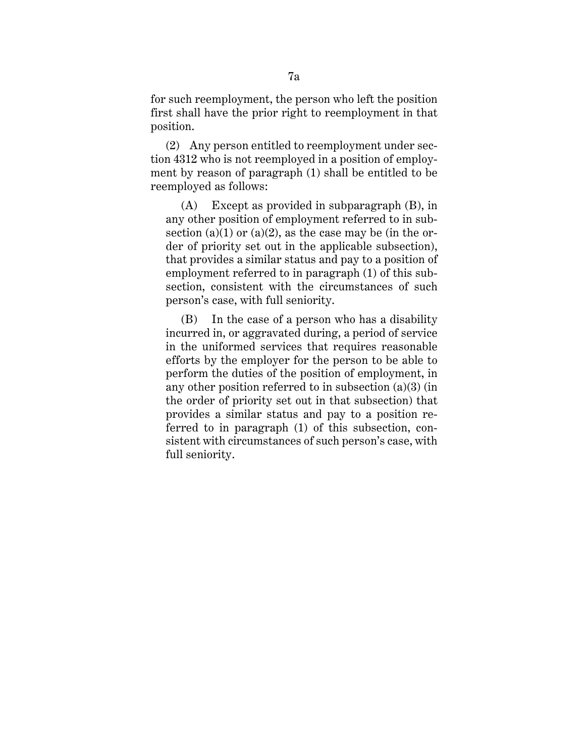for such reemployment, the person who left the position first shall have the prior right to reemployment in that position.

(2) Any person entitled to reemployment under section 4312 who is not reemployed in a position of employment by reason of paragraph (1) shall be entitled to be reemployed as follows:

(A) Except as provided in subparagraph (B), in any other position of employment referred to in subsection (a)(1) or (a)(2), as the case may be (in the order of priority set out in the applicable subsection), that provides a similar status and pay to a position of employment referred to in paragraph (1) of this subsection, consistent with the circumstances of such person's case, with full seniority.

(B) In the case of a person who has a disability incurred in, or aggravated during, a period of service in the uniformed services that requires reasonable efforts by the employer for the person to be able to perform the duties of the position of employment, in any other position referred to in subsection (a)(3) (in the order of priority set out in that subsection) that provides a similar status and pay to a position referred to in paragraph (1) of this subsection, consistent with circumstances of such person's case, with full seniority.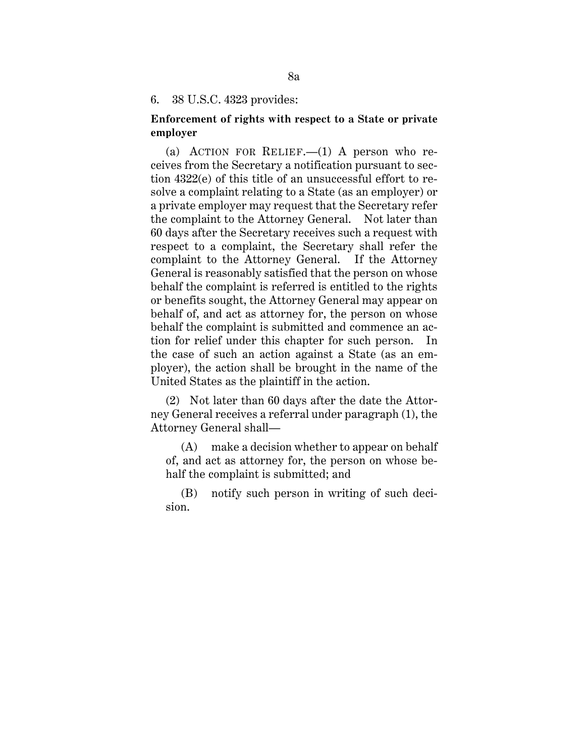6. 38 U.S.C. 4323 provides:

## **Enforcement of rights with respect to a State or private employer**

(a) ACTION FOR RELIEF.  $-(1)$  A person who receives from the Secretary a notification pursuant to section 4322(e) of this title of an unsuccessful effort to resolve a complaint relating to a State (as an employer) or a private employer may request that the Secretary refer the complaint to the Attorney General. Not later than 60 days after the Secretary receives such a request with respect to a complaint, the Secretary shall refer the complaint to the Attorney General. If the Attorney General is reasonably satisfied that the person on whose behalf the complaint is referred is entitled to the rights or benefits sought, the Attorney General may appear on behalf of, and act as attorney for, the person on whose behalf the complaint is submitted and commence an action for relief under this chapter for such person. In the case of such an action against a State (as an employer), the action shall be brought in the name of the United States as the plaintiff in the action.

(2) Not later than 60 days after the date the Attorney General receives a referral under paragraph (1), the Attorney General shall—

(A) make a decision whether to appear on behalf of, and act as attorney for, the person on whose behalf the complaint is submitted; and

(B) notify such person in writing of such decision.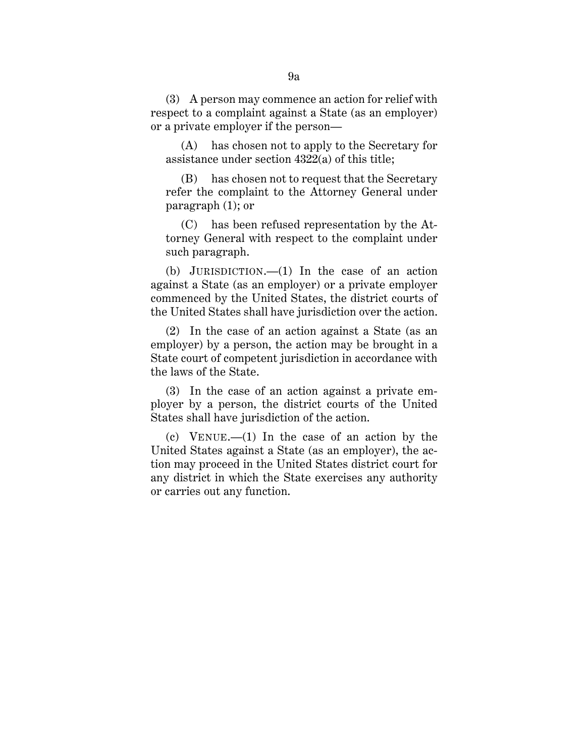(3) A person may commence an action for relief with respect to a complaint against a State (as an employer) or a private employer if the person—

(A) has chosen not to apply to the Secretary for assistance under section 4322(a) of this title;

(B) has chosen not to request that the Secretary refer the complaint to the Attorney General under paragraph (1); or

(C) has been refused representation by the Attorney General with respect to the complaint under such paragraph.

(b) JURISDICTION.—(1) In the case of an action against a State (as an employer) or a private employer commenced by the United States, the district courts of the United States shall have jurisdiction over the action.

(2) In the case of an action against a State (as an employer) by a person, the action may be brought in a State court of competent jurisdiction in accordance with the laws of the State.

(3) In the case of an action against a private employer by a person, the district courts of the United States shall have jurisdiction of the action.

(c) VENUE.—(1) In the case of an action by the United States against a State (as an employer), the action may proceed in the United States district court for any district in which the State exercises any authority or carries out any function.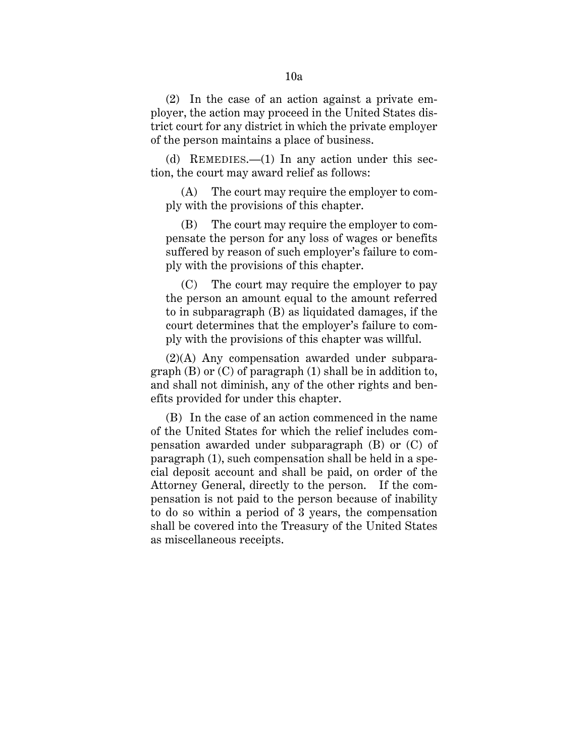(2) In the case of an action against a private employer, the action may proceed in the United States district court for any district in which the private employer of the person maintains a place of business.

(d) REMEDIES.—(1) In any action under this section, the court may award relief as follows:

(A) The court may require the employer to comply with the provisions of this chapter.

(B) The court may require the employer to compensate the person for any loss of wages or benefits suffered by reason of such employer's failure to comply with the provisions of this chapter.

(C) The court may require the employer to pay the person an amount equal to the amount referred to in subparagraph (B) as liquidated damages, if the court determines that the employer's failure to comply with the provisions of this chapter was willful.

(2)(A) Any compensation awarded under subparagraph  $(B)$  or  $(C)$  of paragraph  $(1)$  shall be in addition to, and shall not diminish, any of the other rights and benefits provided for under this chapter.

(B) In the case of an action commenced in the name of the United States for which the relief includes compensation awarded under subparagraph (B) or (C) of paragraph (1), such compensation shall be held in a special deposit account and shall be paid, on order of the Attorney General, directly to the person. If the compensation is not paid to the person because of inability to do so within a period of 3 years, the compensation shall be covered into the Treasury of the United States as miscellaneous receipts.